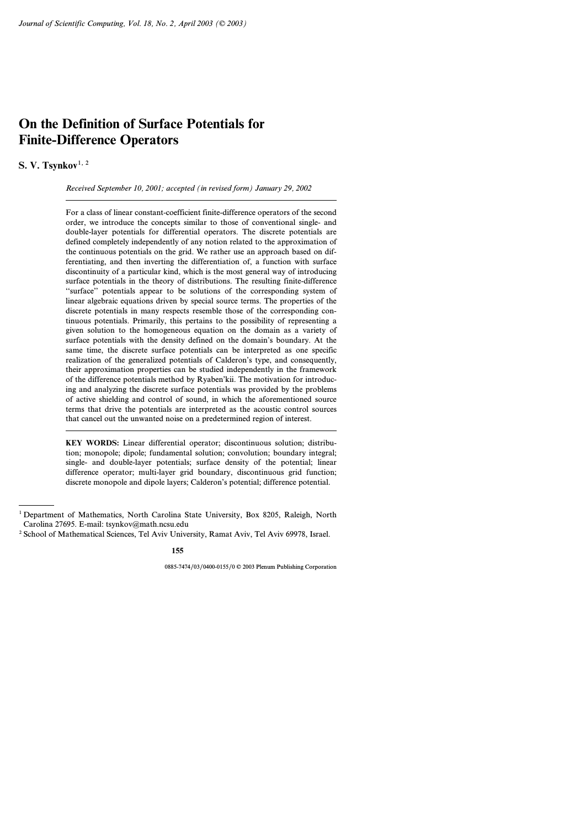# **On the Definition of Surface Potentials for Finite-Difference Operators**

# **S. V. Tsynkov**<sup>1, 2</sup>

*Received September 10, 2001; accepted (in revised form) January 29, 2002*

For a class of linear constant-coefficient finite-difference operators of the second order, we introduce the concepts similar to those of conventional single- and double-layer potentials for differential operators. The discrete potentials are defined completely independently of any notion related to the approximation of the continuous potentials on the grid. We rather use an approach based on differentiating, and then inverting the differentiation of, a function with surface discontinuity of a particular kind, which is the most general way of introducing surface potentials in the theory of distributions. The resulting finite-difference ''surface'' potentials appear to be solutions of the corresponding system of linear algebraic equations driven by special source terms. The properties of the discrete potentials in many respects resemble those of the corresponding continuous potentials. Primarily, this pertains to the possibility of representing a given solution to the homogeneous equation on the domain as a variety of surface potentials with the density defined on the domain's boundary. At the same time, the discrete surface potentials can be interpreted as one specific realization of the generalized potentials of Calderon's type, and consequently, their approximation properties can be studied independently in the framework of the difference potentials method by Ryaben'kii. The motivation for introducing and analyzing the discrete surface potentials was provided by the problems of active shielding and control of sound, in which the aforementioned source terms that drive the potentials are interpreted as the acoustic control sources that cancel out the unwanted noise on a predetermined region of interest.

**KEY WORDS:** Linear differential operator; discontinuous solution; distribution; monopole; dipole; fundamental solution; convolution; boundary integral; single- and double-layer potentials; surface density of the potential; linear difference operator; multi-layer grid boundary, discontinuous grid function; discrete monopole and dipole layers; Calderon's potential; difference potential.

<sup>&</sup>lt;sup>1</sup> Department of Mathematics, North Carolina State University, Box 8205, Raleigh, North Carolina 27695. E-mail: tsynkov@math.ncsu.edu

<sup>2</sup> School of Mathematical Sciences, Tel Aviv University, Ramat Aviv, Tel Aviv 69978, Israel.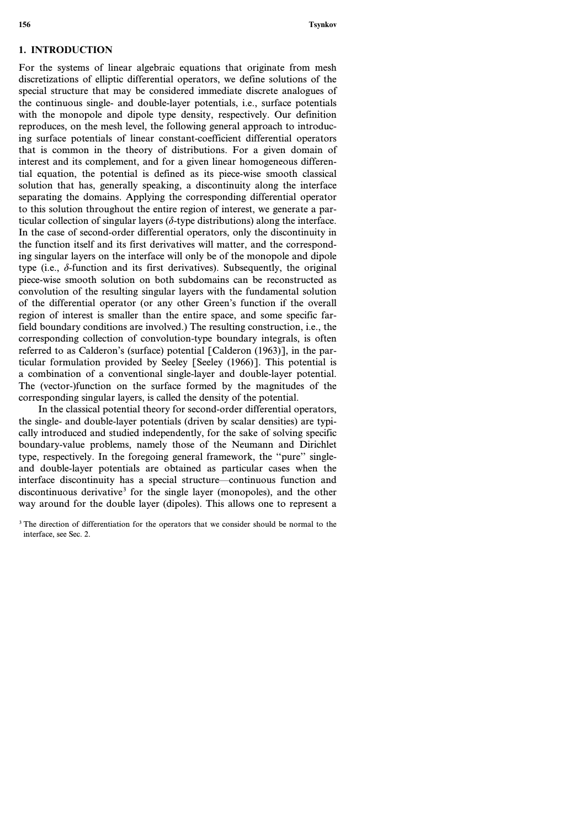# **1. INTRODUCTION**

For the systems of linear algebraic equations that originate from mesh discretizations of elliptic differential operators, we define solutions of the special structure that may be considered immediate discrete analogues of the continuous single- and double-layer potentials, i.e., surface potentials with the monopole and dipole type density, respectively. Our definition reproduces, on the mesh level, the following general approach to introducing surface potentials of linear constant-coefficient differential operators that is common in the theory of distributions. For a given domain of interest and its complement, and for a given linear homogeneous differential equation, the potential is defined as its piece-wise smooth classical solution that has, generally speaking, a discontinuity along the interface separating the domains. Applying the corresponding differential operator to this solution throughout the entire region of interest, we generate a particular collection of singular layers  $(\delta$ -type distributions) along the interface. In the case of second-order differential operators, only the discontinuity in the function itself and its first derivatives will matter, and the corresponding singular layers on the interface will only be of the monopole and dipole type (i.e.,  $\delta$ -function and its first derivatives). Subsequently, the original piece-wise smooth solution on both subdomains can be reconstructed as convolution of the resulting singular layers with the fundamental solution of the differential operator (or any other Green's function if the overall region of interest is smaller than the entire space, and some specific farfield boundary conditions are involved.) The resulting construction, i.e., the corresponding collection of convolution-type boundary integrals, is often referred to as Calderon's (surface) potential [Calderon (1963)], in the particular formulation provided by Seeley [Seeley (1966)]. This potential is a combination of a conventional single-layer and double-layer potential. The (vector-)function on the surface formed by the magnitudes of the corresponding singular layers, is called the density of the potential.

In the classical potential theory for second-order differential operators, the single- and double-layer potentials (driven by scalar densities) are typically introduced and studied independently, for the sake of solving specific boundary-value problems, namely those of the Neumann and Dirichlet type, respectively. In the foregoing general framework, the ''pure'' singleand double-layer potentials are obtained as particular cases when the interface discontinuity has a special structure—continuous function and discontinuous derivative<sup>3</sup> for the single layer (monopoles), and the other way around for the double layer (dipoles). This allows one to represent a

 $3$  The direction of differentiation for the operators that we consider should be normal to the interface, see Sec. 2.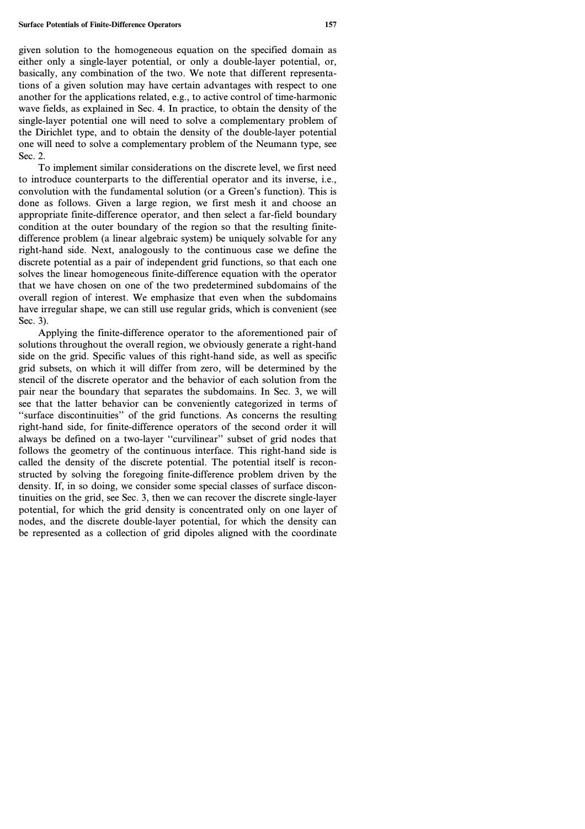given solution to the homogeneous equation on the specified domain as either only a single-layer potential, or only a double-layer potential, or, basically, any combination of the two. We note that different representations of a given solution may have certain advantages with respect to one another for the applications related, e.g., to active control of time-harmonic wave fields, as explained in Sec. 4. In practice, to obtain the density of the single-layer potential one will need to solve a complementary problem of the Dirichlet type, and to obtain the density of the double-layer potential one will need to solve a complementary problem of the Neumann type, see Sec. 2.

To implement similar considerations on the discrete level, we first need to introduce counterparts to the differential operator and its inverse, i.e., convolution with the fundamental solution (or a Green's function). This is done as follows. Given a large region, we first mesh it and choose an appropriate finite-difference operator, and then select a far-field boundary condition at the outer boundary of the region so that the resulting finitedifference problem (a linear algebraic system) be uniquely solvable for any right-hand side. Next, analogously to the continuous case we define the discrete potential as a pair of independent grid functions, so that each one solves the linear homogeneous finite-difference equation with the operator that we have chosen on one of the two predetermined subdomains of the overall region of interest. We emphasize that even when the subdomains have irregular shape, we can still use regular grids, which is convenient (see Sec. 3).

Applying the finite-difference operator to the aforementioned pair of solutions throughout the overall region, we obviously generate a right-hand side on the grid. Specific values of this right-hand side, as well as specific grid subsets, on which it will differ from zero, will be determined by the stencil of the discrete operator and the behavior of each solution from the pair near the boundary that separates the subdomains. In Sec. 3, we will see that the latter behavior can be conveniently categorized in terms of ''surface discontinuities'' of the grid functions. As concerns the resulting right-hand side, for finite-difference operators of the second order it will always be defined on a two-layer ''curvilinear'' subset of grid nodes that follows the geometry of the continuous interface. This right-hand side is called the density of the discrete potential. The potential itself is reconstructed by solving the foregoing finite-difference problem driven by the density. If, in so doing, we consider some special classes of surface discontinuities on the grid, see Sec. 3, then we can recover the discrete single-layer potential, for which the grid density is concentrated only on one layer of nodes, and the discrete double-layer potential, for which the density can be represented as a collection of grid dipoles aligned with the coordinate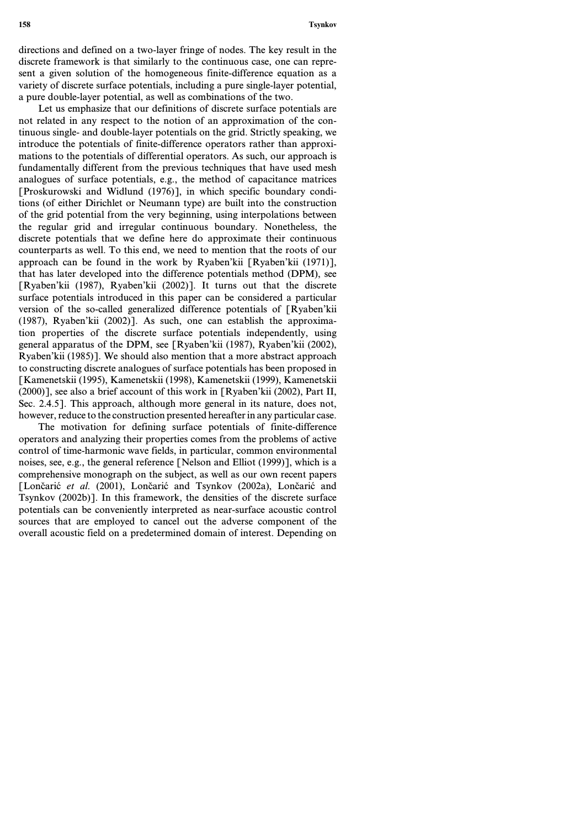directions and defined on a two-layer fringe of nodes. The key result in the discrete framework is that similarly to the continuous case, one can represent a given solution of the homogeneous finite-difference equation as a variety of discrete surface potentials, including a pure single-layer potential, a pure double-layer potential, as well as combinations of the two.

Let us emphasize that our definitions of discrete surface potentials are not related in any respect to the notion of an approximation of the continuous single- and double-layer potentials on the grid. Strictly speaking, we introduce the potentials of finite-difference operators rather than approximations to the potentials of differential operators. As such, our approach is fundamentally different from the previous techniques that have used mesh analogues of surface potentials, e.g., the method of capacitance matrices [Proskurowski and Widlund (1976)], in which specific boundary conditions (of either Dirichlet or Neumann type) are built into the construction of the grid potential from the very beginning, using interpolations between the regular grid and irregular continuous boundary. Nonetheless, the discrete potentials that we define here do approximate their continuous counterparts as well. To this end, we need to mention that the roots of our approach can be found in the work by Ryaben'kii [Ryaben'kii (1971)], that has later developed into the difference potentials method (DPM), see [Ryaben'kii (1987), Ryaben'kii (2002)]. It turns out that the discrete surface potentials introduced in this paper can be considered a particular version of the so-called generalized difference potentials of [Ryaben'kii (1987), Ryaben'kii (2002)]. As such, one can establish the approximation properties of the discrete surface potentials independently, using general apparatus of the DPM, see [Ryaben'kii (1987), Ryaben'kii (2002), Ryaben'kii (1985)]. We should also mention that a more abstract approach to constructing discrete analogues of surface potentials has been proposed in [Kamenetskii (1995), Kamenetskii (1998), Kamenetskii (1999), Kamenetskii (2000)], see also a brief account of this work in [Ryaben'kii (2002), Part II, Sec. 2.4.5]. This approach, although more general in its nature, does not, however, reduce to the construction presented hereafter in any particular case.

The motivation for defining surface potentials of finite-difference operators and analyzing their properties comes from the problems of active control of time-harmonic wave fields, in particular, common environmental noises, see, e.g., the general reference [Nelson and Elliot (1999)], which is a comprehensive monograph on the subject, as well as our own recent papers [Lončarić et al. (2001), Lončarić and Tsynkov (2002a), Lončarić and Tsynkov (2002b)]. In this framework, the densities of the discrete surface potentials can be conveniently interpreted as near-surface acoustic control sources that are employed to cancel out the adverse component of the overall acoustic field on a predetermined domain of interest. Depending on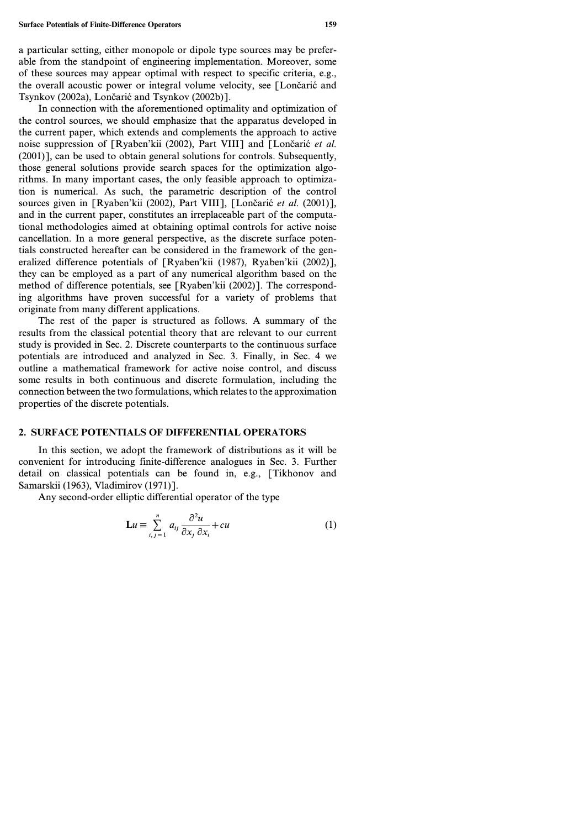a particular setting, either monopole or dipole type sources may be preferable from the standpoint of engineering implementation. Moreover, some of these sources may appear optimal with respect to specific criteria, e.g., the overall acoustic power or integral volume velocity, see [Lončarić and Tsynkov (2002a), Lončarić and Tsynkov (2002b)].

In connection with the aforementioned optimality and optimization of the control sources, we should emphasize that the apparatus developed in the current paper, which extends and complements the approach to active noise suppression of [Ryaben'kii (2002), Part VIII] and [Lončarić *et al.* (2001)], can be used to obtain general solutions for controls. Subsequently, those general solutions provide search spaces for the optimization algorithms. In many important cases, the only feasible approach to optimization is numerical. As such, the parametric description of the control sources given in [Ryaben'kii (2002), Part VIII], [Lončarić *et al.* (2001)], and in the current paper, constitutes an irreplaceable part of the computational methodologies aimed at obtaining optimal controls for active noise cancellation. In a more general perspective, as the discrete surface potentials constructed hereafter can be considered in the framework of the generalized difference potentials of [Ryaben'kii (1987), Ryaben'kii (2002)], they can be employed as a part of any numerical algorithm based on the method of difference potentials, see [Ryaben'kii (2002)]. The corresponding algorithms have proven successful for a variety of problems that originate from many different applications.

The rest of the paper is structured as follows. A summary of the results from the classical potential theory that are relevant to our current study is provided in Sec. 2. Discrete counterparts to the continuous surface potentials are introduced and analyzed in Sec. 3. Finally, in Sec. 4 we outline a mathematical framework for active noise control, and discuss some results in both continuous and discrete formulation, including the connection between the two formulations, which relates to the approximation properties of the discrete potentials.

### **2. SURFACE POTENTIALS OF DIFFERENTIAL OPERATORS**

In this section, we adopt the framework of distributions as it will be convenient for introducing finite-difference analogues in Sec. 3. Further detail on classical potentials can be found in, e.g., [Tikhonov and Samarskii (1963), Vladimirov (1971)].

Any second-order elliptic differential operator of the type

$$
\mathbf{L}u \equiv \sum_{i,j=1}^{n} a_{ij} \frac{\partial^2 u}{\partial x_j \partial x_i} + cu \tag{1}
$$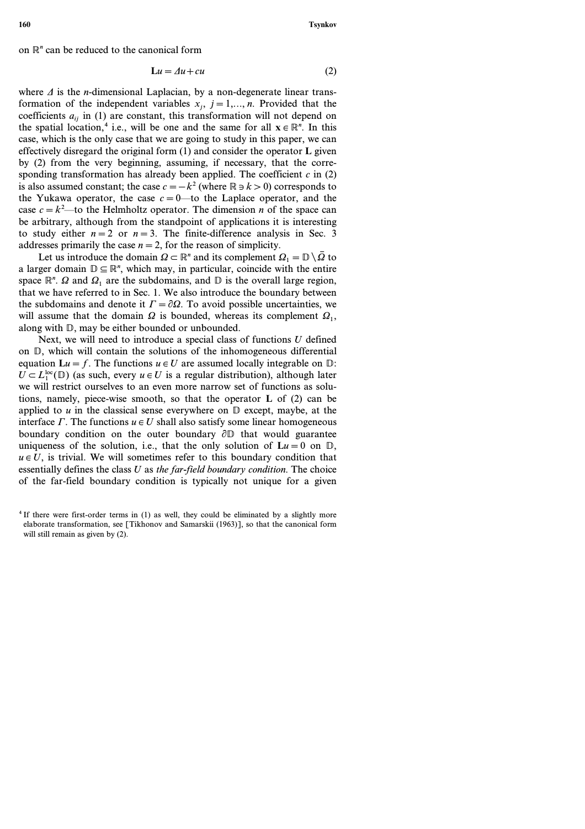on R*<sup>n</sup>* can be reduced to the canonical form

$$
Lu = \Delta u + cu \tag{2}
$$

where  $\Delta$  is the *n*-dimensional Laplacian, by a non-degenerate linear transformation of the independent variables  $x_j$ ,  $j=1,\dots, n$ . Provided that the coefficients  $a_{ij}$  in (1) are constant, this transformation will not depend on the spatial location,<sup>4</sup> i.e., will be one and the same for all  $x \in \mathbb{R}^n$ . In this case, which is the only case that we are going to study in this paper, we can effectively disregard the original form (1) and consider the operator **L** given by (2) from the very beginning, assuming, if necessary, that the corresponding transformation has already been applied. The coefficient  $c$  in  $(2)$ is also assumed constant; the case  $c = -k^2$  (where  $\mathbb{R} \ni k > 0$ ) corresponds to the Yukawa operator, the case  $c=0$ —to the Laplace operator, and the case  $c = k^2$ —to the Helmholtz operator. The dimension *n* of the space can be arbitrary, although from the standpoint of applications it is interesting to study either  $n=2$  or  $n=3$ . The finite-difference analysis in Sec. 3 addresses primarily the case  $n=2$ , for the reason of simplicity.

Let us introduce the domain  $\Omega \subset \mathbb{R}^n$  and its complement  $\Omega_1 = \mathbb{D} \setminus \overline{\Omega}$  to a larger domain  $D \subseteq \mathbb{R}^n$ , which may, in particular, coincide with the entire space  $\mathbb{R}^n$ .  $\Omega$  and  $\Omega_1$  are the subdomains, and  $\mathbb D$  is the overall large region, that we have referred to in Sec. 1. We also introduce the boundary between the subdomains and denote it  $\Gamma = \partial \Omega$ . To avoid possible uncertainties, we will assume that the domain  $\Omega$  is bounded, whereas its complement  $\Omega$ <sup>1</sup>, along with  $D$ , may be either bounded or unbounded.

Next, we will need to introduce a special class of functions *U* defined on D, which will contain the solutions of the inhomogeneous differential equation  $Lu = f$ . The functions  $u \in U$  are assumed locally integrable on  $D$ :  $U \subset L_1^{\text{loc}}(\mathbb{D})$  (as such, every  $u \in U$  is a regular distribution), although later we will restrict ourselves to an even more narrow set of functions as solutions, namely, piece-wise smooth, so that the operator **L** of (2) can be applied to  $u$  in the classical sense everywhere on  $D$  except, maybe, at the interface  $\Gamma$ . The functions  $u \in U$  shall also satisfy some linear homogeneous boundary condition on the outer boundary  $\partial D$  that would guarantee uniqueness of the solution, i.e., that the only solution of  $Lu = 0$  on  $D$ ,  $u \in U$ , is trivial. We will sometimes refer to this boundary condition that essentially defines the class *U* as *the far-field boundary condition.* The choice of the far-field boundary condition is typically not unique for a given

<sup>4</sup> If there were first-order terms in (1) as well, they could be eliminated by a slightly more elaborate transformation, see [Tikhonov and Samarskii (1963)], so that the canonical form will still remain as given by  $(2)$ .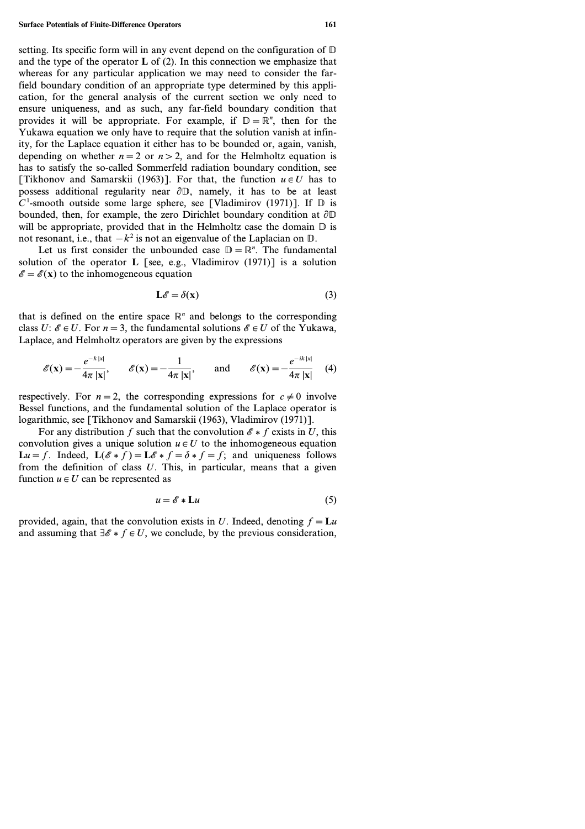setting. Its specific form will in any event depend on the configuration of D and the type of the operator **L** of (2). In this connection we emphasize that whereas for any particular application we may need to consider the farfield boundary condition of an appropriate type determined by this application, for the general analysis of the current section we only need to ensure uniqueness, and as such, any far-field boundary condition that provides it will be appropriate. For example, if  $D = \mathbb{R}^n$ , then for the Yukawa equation we only have to require that the solution vanish at infinity, for the Laplace equation it either has to be bounded or, again, vanish, depending on whether  $n=2$  or  $n>2$ , and for the Helmholtz equation is has to satisfy the so-called Sommerfeld radiation boundary condition, see [Tikhonov and Samarskii (1963)]. For that, the function  $u \in U$  has to possess additional regularity near  $\partial \mathbb{D}$ , namely, it has to be at least  $C<sup>1</sup>$ -smooth outside some large sphere, see [Vladimirov (1971)]. If  $D$  is bounded, then, for example, the zero Dirichlet boundary condition at  $\partial D$ will be appropriate, provided that in the Helmholtz case the domain  $D$  is not resonant, i.e., that  $-k^2$  is not an eigenvalue of the Laplacian on  $\mathbb{D}$ .

Let us first consider the unbounded case  $D = \mathbb{R}^n$ . The fundamental solution of the operator **L** [see, e.g., Vladimirov (1971)] is a solution  $\mathscr{E} = \mathscr{E}(\mathbf{x})$  to the inhomogeneous equation

$$
L\mathscr{E} = \delta(x) \tag{3}
$$

that is defined on the entire space  $\mathbb{R}^n$  and belongs to the corresponding class *U*:  $\mathcal{E} \in U$ . For  $n=3$ , the fundamental solutions  $\mathcal{E} \in U$  of the Yukawa, Laplace, and Helmholtz operators are given by the expressions

$$
\mathscr{E}(\mathbf{x}) = -\frac{e^{-k|x|}}{4\pi |\mathbf{x}|}, \qquad \mathscr{E}(\mathbf{x}) = -\frac{1}{4\pi |\mathbf{x}|}, \qquad \text{and} \qquad \mathscr{E}(\mathbf{x}) = -\frac{e^{-ik|x|}}{4\pi |\mathbf{x}|} \tag{4}
$$

respectively. For  $n=2$ , the corresponding expressions for  $c \neq 0$  involve Bessel functions, and the fundamental solution of the Laplace operator is logarithmic, see [Tikhonov and Samarskii (1963), Vladimirov (1971)].

For any distribution *f* such that the convolution  $\mathscr{E} * f$  exists in *U*, this convolution gives a unique solution  $u \in U$  to the inhomogeneous equation **L***u*= f. Indeed, **L**( $\mathcal{E} * f$ ) = **L** $\mathcal{E} * f = \delta * f = f$ ; and uniqueness follows from the definition of class *U*. This, in particular, means that a given function  $u \in U$  can be represented as

$$
u = \mathscr{E} * \mathcal{L}u \tag{5}
$$

provided, again, that the convolution exists in *U*. Indeed, denoting  $f = Lu$ and assuming that  $\exists \mathscr{E} * f \in U$ , we conclude, by the previous consideration,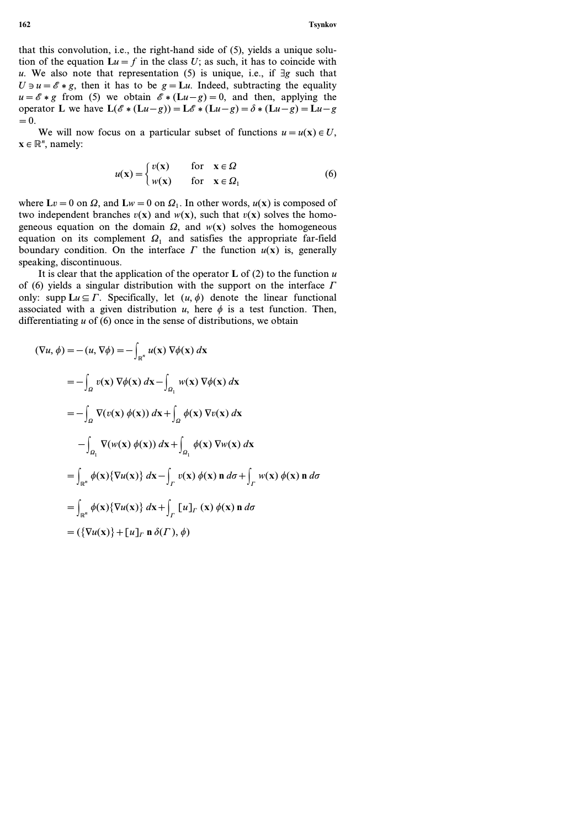that this convolution, i.e., the right-hand side of (5), yields a unique solution of the equation  $\mathbf{L}u = f$  in the class U; as such, it has to coincide with *u*. We also note that representation (5) is unique, i.e., if  $\exists g$  such that  $U \ni u = \mathscr{E} * g$ , then it has to be  $g = Lu$ . Indeed, subtracting the equality  $u = \mathscr{E} * g$  from (5) we obtain  $\mathscr{E} * (Lu - g) = 0$ , and then, applying the operator **L** we have  $L(e^* * (Lu-g)) = L(e^* * (Lu-g)) = \delta * (Lu-g) = Lu-g$ *=0*.

We will now focus on a particular subset of functions  $u = u(\mathbf{x}) \in U$ ,  $\mathbf{x} \in \mathbb{R}^n$ , namely:

$$
u(\mathbf{x}) = \begin{cases} v(\mathbf{x}) & \text{for } \mathbf{x} \in \Omega \\ w(\mathbf{x}) & \text{for } \mathbf{x} \in \Omega_1 \end{cases}
$$
 (6)

where  $Lv = 0$  on  $\Omega$ , and  $Lw = 0$  on  $\Omega$ <sub>1</sub>. In other words,  $u(x)$  is composed of two independent branches  $v(x)$  and  $w(x)$ , such that  $v(x)$  solves the homogeneous equation on the domain  $\Omega$ , and  $w(\mathbf{x})$  solves the homogeneous equation on its complement  $\Omega_1$  and satisfies the appropriate far-field boundary condition. On the interface  $\Gamma$  the function  $u(\mathbf{x})$  is, generally speaking, discontinuous.

It is clear that the application of the operator  $\bf{L}$  of (2) to the function  $\bf{u}$ of (6) yields a singular distribution with the support on the interface *C* only: supp  $\text{L}u \subseteq \Gamma$ . Specifically, let  $(u, \phi)$  denote the linear functional associated with a given distribution  $u$ , here  $\phi$  is a test function. Then, differentiating *u* of (6) once in the sense of distributions, we obtain

$$
(\nabla u, \phi) = -(u, \nabla \phi) = -\int_{\mathbb{R}^n} u(\mathbf{x}) \nabla \phi(\mathbf{x}) d\mathbf{x}
$$
  
\n
$$
= -\int_{\Omega} v(\mathbf{x}) \nabla \phi(\mathbf{x}) d\mathbf{x} - \int_{\Omega_1} w(\mathbf{x}) \nabla \phi(\mathbf{x}) d\mathbf{x}
$$
  
\n
$$
= -\int_{\Omega} \nabla (v(\mathbf{x}) \phi(\mathbf{x})) d\mathbf{x} + \int_{\Omega} \phi(\mathbf{x}) \nabla v(\mathbf{x}) d\mathbf{x}
$$
  
\n
$$
- \int_{\Omega_1} \nabla (w(\mathbf{x}) \phi(\mathbf{x})) d\mathbf{x} + \int_{\Omega_1} \phi(\mathbf{x}) \nabla w(\mathbf{x}) d\mathbf{x}
$$
  
\n
$$
= \int_{\mathbb{R}^n} \phi(\mathbf{x}) \{ \nabla u(\mathbf{x}) \} d\mathbf{x} - \int_{\Gamma} v(\mathbf{x}) \phi(\mathbf{x}) \mathbf{n} d\sigma + \int_{\Gamma} w(\mathbf{x}) \phi(\mathbf{x}) \mathbf{n} d\sigma
$$
  
\n
$$
= \int_{\mathbb{R}^n} \phi(\mathbf{x}) \{ \nabla u(\mathbf{x}) \} d\mathbf{x} + \int_{\Gamma} [u]_{\Gamma} (\mathbf{x}) \phi(\mathbf{x}) \mathbf{n} d\sigma
$$
  
\n
$$
= (\{ \nabla u(\mathbf{x}) \} + [u]_{\Gamma} \mathbf{n} \delta(\Gamma), \phi)
$$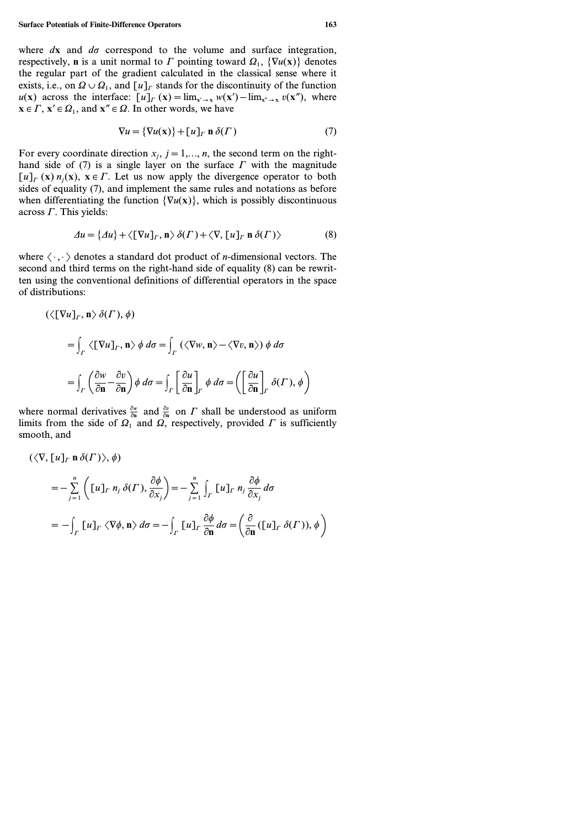where  $dx$  and  $d\sigma$  correspond to the volume and surface integration, respectively, **n** is a unit normal to *C* pointing toward  $\Omega_1$ ,  $\{\nabla u(\mathbf{x})\}$  denotes the regular part of the gradient calculated in the classical sense where it exists, i.e., on  $\Omega \cup \Omega_1$ , and  $\lceil u \rceil_r$  stands for the discontinuity of the function  $u(\mathbf{x})$  across the interface:  $[u]_F(\mathbf{x}) = \lim_{\mathbf{x}' \to \mathbf{x}} w(\mathbf{x}') - \lim_{\mathbf{x}' \to \mathbf{x}} v(\mathbf{x}'')$ , where  $\mathbf{x} \in \Gamma$ ,  $\mathbf{x}' \in \Omega_1$ , and  $\mathbf{x}'' \in \Omega$ . In other words, we have

$$
\nabla u = \{ \nabla u(\mathbf{x}) \} + [u]_T \mathbf{n} \, \delta(\Gamma) \tag{7}
$$

For every coordinate direction  $x_j$ ,  $j=1,\ldots,n$ , the second term on the righthand side of  $(7)$  is a single layer on the surface  $\Gamma$  with the magnitude  $[u]_F(x)$   $n_i(x)$ ,  $x \in \Gamma$ . Let us now apply the divergence operator to both sides of equality (7), and implement the same rules and notations as before when differentiating the function  $\{\nabla u(\mathbf{x})\}$ , which is possibly discontinuous across *C*. This yields:

$$
\varDelta u = \{\varDelta u\} + \langle [\nabla u]_r, \mathbf{n} \rangle \, \delta(\Gamma) + \langle \nabla, [u]_r \, \mathbf{n} \, \delta(\Gamma) \rangle \tag{8}
$$

where  $\langle \cdot, \cdot \rangle$  denotes a standard dot product of *n*-dimensional vectors. The second and third terms on the right-hand side of equality (8) can be rewritten using the conventional definitions of differential operators in the space of distributions:

$$
\begin{aligned}\n&\left(\langle \left[\nabla u\right]_r, \mathbf{n}\right\rangle \delta(\Gamma), \phi\n\end{aligned}\n\right) =\n\int_{\Gamma} \left\langle \left[\nabla u\right]_r, \mathbf{n}\right\rangle \phi \, d\sigma =\n\int_{\Gamma} \left(\langle \nabla w, \mathbf{n}\right\rangle - \langle \nabla v, \mathbf{n}\right\rangle) \phi \, d\sigma
$$
\n
$$
= \int_{\Gamma} \left(\frac{\partial w}{\partial \mathbf{n}} - \frac{\partial v}{\partial \mathbf{n}}\right) \phi \, d\sigma =\n\int_{\Gamma} \left[\frac{\partial u}{\partial \mathbf{n}}\right]_r \phi \, d\sigma =\n\left(\left[\frac{\partial u}{\partial \mathbf{n}}\right]_r \delta(\Gamma), \phi\right)
$$

where normal derivatives  $\frac{\partial w}{\partial n}$  and  $\frac{\partial v}{\partial n}$  on *C* shall be understood as uniform limits from the side of  $\Omega_1$  and  $\Omega$ , respectively, provided  $\Gamma$  is sufficiently smooth, and

$$
(\langle \nabla, [u]_{\Gamma} \mathbf{n} \, \delta(\Gamma) \rangle, \phi)
$$
  
=  $-\sum_{j=1}^{n} \left( [u]_{\Gamma} n_j \, \delta(\Gamma), \frac{\partial \phi}{\partial x_j} \right) = -\sum_{j=1}^{n} \int_{\Gamma} [u]_{\Gamma} n_j \frac{\partial \phi}{\partial x_j} d\sigma$   
=  $- \int_{\Gamma} [u]_{\Gamma} \langle \nabla \phi, \mathbf{n} \rangle d\sigma = - \int_{\Gamma} [u]_{\Gamma} \frac{\partial \phi}{\partial \mathbf{n}} d\sigma = \left( \frac{\partial}{\partial \mathbf{n}} ([u]_{\Gamma} \, \delta(\Gamma)), \phi \right)$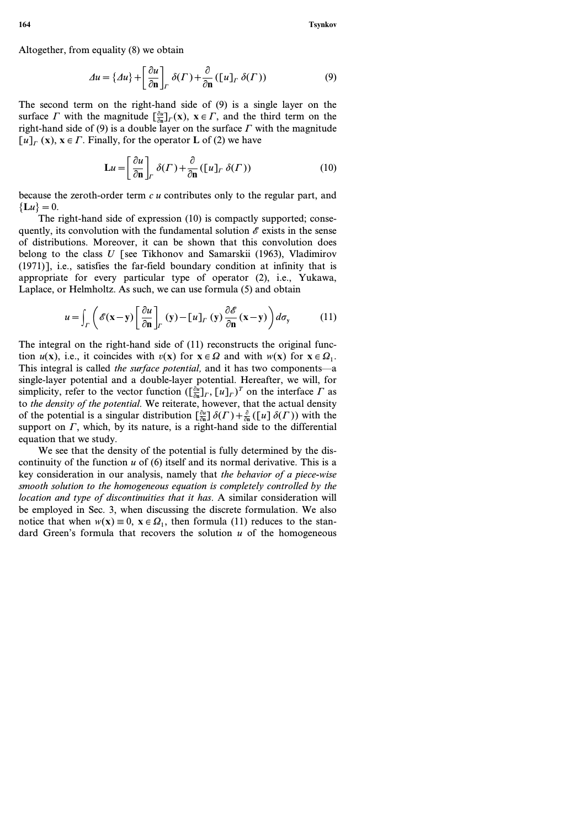Altogether, from equality (8) we obtain

$$
\Delta u = \{\Delta u\} + \left[\frac{\partial u}{\partial \mathbf{n}}\right]_r \delta(\Gamma) + \frac{\partial}{\partial \mathbf{n}}([\mu]_r \delta(\Gamma))
$$
(9)

The second term on the right-hand side of (9) is a single layer on the surface *C* with the magnitude  $\left[\frac{\partial u}{\partial n}\right]_F(x)$ ,  $x \in \Gamma$ , and the third term on the right-hand side of (9) is a double layer on the surface  $\Gamma$  with the magnitude  $\lceil u \rceil_r$  (**x**),  $x \in \Gamma$ . Finally, for the operator **L** of (2) we have

$$
\mathbf{L}u = \left[\frac{\partial u}{\partial \mathbf{n}}\right]_r \delta(\Gamma) + \frac{\partial}{\partial \mathbf{n}} ([u]_r \delta(\Gamma)) \tag{10}
$$

because the zeroth-order term *c u* contributes only to the regular part, and  ${L}u$ } = 0.

The right-hand side of expression (10) is compactly supported; consequently, its convolution with the fundamental solution  $\mathscr E$  exists in the sense of distributions. Moreover, it can be shown that this convolution does belong to the class *U* [see Tikhonov and Samarskii (1963), Vladimirov (1971)], i.e., satisfies the far-field boundary condition at infinity that is appropriate for every particular type of operator (2), i.e., Yukawa, Laplace, or Helmholtz. As such, we can use formula (5) and obtain

$$
u = \int_{\Gamma} \left( \mathcal{E}(\mathbf{x} - \mathbf{y}) \left[ \frac{\partial u}{\partial \mathbf{n}} \right]_{\Gamma} (\mathbf{y}) - [u]_{\Gamma} (\mathbf{y}) \frac{\partial \mathcal{E}}{\partial \mathbf{n}} (\mathbf{x} - \mathbf{y}) \right) d\sigma_{\mathbf{y}}
$$
(11)

The integral on the right-hand side of (11) reconstructs the original function  $u(\mathbf{x})$ , i.e., it coincides with  $v(\mathbf{x})$  for  $\mathbf{x} \in \Omega$  and with  $w(\mathbf{x})$  for  $\mathbf{x} \in \Omega_1$ . This integral is called *the surface potential,* and it has two components—a single-layer potential and a double-layer potential. Hereafter, we will, for simplicity, refer to the vector function  $(\left[\frac{\partial u}{\partial n}\right]_F, \left[u\right]_F)^T$  on the interface  $\Gamma$  as to *the density of the potential.* We reiterate, however, that the actual density of the potential is a singular distribution  $\left[\frac{\partial u}{\partial n}\right] \delta(\Gamma) + \frac{\partial}{\partial n} (\left[u\right] \delta(\Gamma))$  with the support on  $\Gamma$ , which, by its nature, is a right-hand side to the differential equation that we study.

We see that the density of the potential is fully determined by the discontinuity of the function *u* of (6) itself and its normal derivative. This is a key consideration in our analysis, namely that *the behavior of a piece-wise smooth solution to the homogeneous equation is completely controlled by the location and type of discontinuities that it has.* A similar consideration will be employed in Sec. 3, when discussing the discrete formulation. We also notice that when  $w(x) \equiv 0$ ,  $x \in \Omega_1$ , then formula (11) reduces to the standard Green's formula that recovers the solution *u* of the homogeneous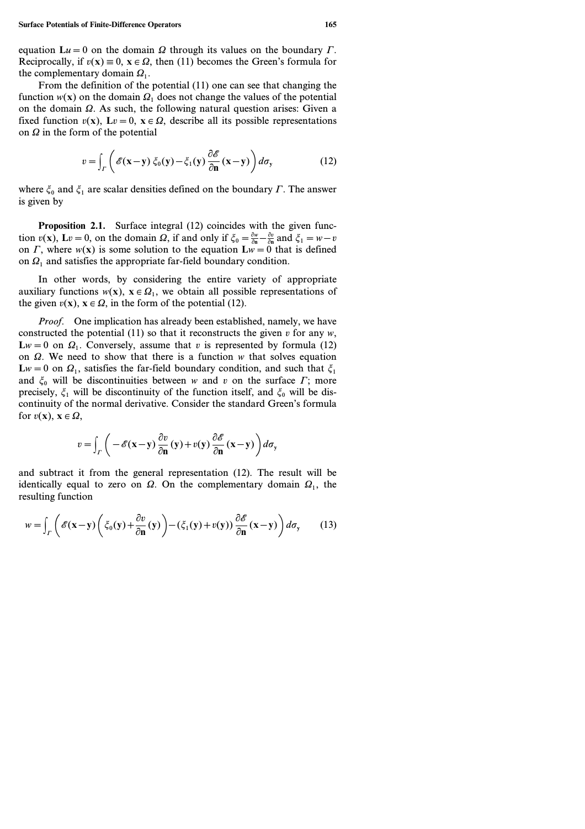equation  $\mathbf{L}u = 0$  on the domain  $\Omega$  through its values on the boundary  $\Gamma$ . Reciprocally, if  $v(x) \equiv 0$ ,  $x \in \Omega$ , then (11) becomes the Green's formula for the complementary domain  $\Omega_1$ .

From the definition of the potential (11) one can see that changing the function  $w(\mathbf{x})$  on the domain  $\Omega_1$  does not change the values of the potential on the domain  $\Omega$ . As such, the following natural question arises: Given a fixed function  $v(\mathbf{x})$ ,  $\mathbf{L}v = 0$ ,  $\mathbf{x} \in \Omega$ , describe all its possible representations on  $\Omega$  in the form of the potential

$$
v = \int_{\Gamma} \left( \mathcal{E}(\mathbf{x} - \mathbf{y}) \, \xi_0(\mathbf{y}) - \xi_1(\mathbf{y}) \, \frac{\partial \mathcal{E}}{\partial \mathbf{n}}(\mathbf{x} - \mathbf{y}) \right) d\sigma_{\mathbf{y}} \tag{12}
$$

where  $\xi_0$  and  $\xi_1$  are scalar densities defined on the boundary *Γ*. The answer is given by

**Proposition 2.1.** Surface integral (12) coincides with the given function *v*(**x**), **L***v* = 0, on the domain  $\Omega$ , if and only if  $\xi_0 = \frac{\partial w}{\partial n} - \frac{\partial v}{\partial n}$  and  $\xi_1 = w - v$ on *C*, where  $w(x)$  is some solution to the equation  $Lw = 0$  that is defined on  $\Omega_1$  and satisfies the appropriate far-field boundary condition.

In other words, by considering the entire variety of appropriate auxiliary functions  $w(x)$ ,  $x \in \Omega_1$ , we obtain all possible representations of the given  $v(\mathbf{x})$ ,  $\mathbf{x} \in \Omega$ , in the form of the potential (12).

*Proof.* One implication has already been established, namely, we have constructed the potential (11) so that it reconstructs the given  $v$  for any  $w$ ,  $Lw = 0$  on  $\Omega_1$ . Conversely, assume that *v* is represented by formula (12) on  $\Omega$ . We need to show that there is a function *w* that solves equation  $Lw = 0$  on  $\Omega_1$ , satisfies the far-field boundary condition, and such that  $\xi_1$ and  $\xi_0$  will be discontinuities between *w* and *v* on the surface *C*; more precisely,  $\xi_1$  will be discontinuity of the function itself, and  $\xi_0$  will be discontinuity of the normal derivative. Consider the standard Green's formula for  $v(x)$ ,  $x \in \Omega$ ,

$$
v = \int_{\Gamma} \left( -\mathscr{E}(\mathbf{x} - \mathbf{y}) \frac{\partial v}{\partial \mathbf{n}}(\mathbf{y}) + v(\mathbf{y}) \frac{\partial \mathscr{E}}{\partial \mathbf{n}}(\mathbf{x} - \mathbf{y}) \right) d\sigma_{\mathbf{y}}
$$

and subtract it from the general representation (12). The result will be identically equal to zero on  $\Omega$ . On the complementary domain  $\Omega_1$ , the resulting function

$$
w = \int_{\Gamma} \left( \mathcal{E}(\mathbf{x} - \mathbf{y}) \left( \xi_0(\mathbf{y}) + \frac{\partial v}{\partial \mathbf{n}}(\mathbf{y}) \right) - (\xi_1(\mathbf{y}) + v(\mathbf{y})) \frac{\partial \mathcal{E}}{\partial \mathbf{n}}(\mathbf{x} - \mathbf{y}) \right) d\sigma_{\mathbf{y}} \tag{13}
$$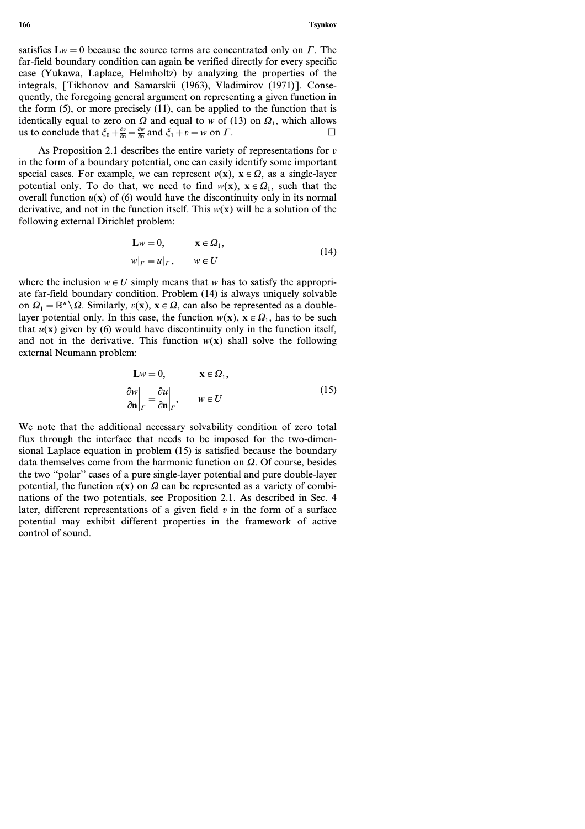satisfies  $Lw = 0$  because the source terms are concentrated only on  $\Gamma$ . The far-field boundary condition can again be verified directly for every specific case (Yukawa, Laplace, Helmholtz) by analyzing the properties of the integrals, [Tikhonov and Samarskii (1963), Vladimirov (1971)]. Consequently, the foregoing general argument on representing a given function in the form  $(5)$ , or more precisely  $(11)$ , can be applied to the function that is identically equal to zero on  $\Omega$  and equal to *w* of (13) on  $\Omega_1$ , which allows us to conclude that  $\xi_0 + \frac{\partial v}{\partial n} = \frac{\partial w}{\partial n}$  and  $\xi_1 + v = w$  on  $\Gamma$ .

As Proposition 2.1 describes the entire variety of representations for *v* in the form of a boundary potential, one can easily identify some important special cases. For example, we can represent  $v(\mathbf{x})$ ,  $\mathbf{x} \in \Omega$ , as a single-layer potential only. To do that, we need to find  $w(x)$ ,  $x \in \Omega_1$ , such that the overall function  $u(x)$  of (6) would have the discontinuity only in its normal derivative, and not in the function itself. This  $w(\mathbf{x})$  will be a solution of the following external Dirichlet problem:

$$
\mathbf{L}w = 0, \qquad \mathbf{x} \in \Omega_1,
$$
  
\n
$$
w|_{\Gamma} = u|_{\Gamma}, \qquad w \in U
$$
\n(14)

where the inclusion  $w \in U$  simply means that *w* has to satisfy the appropriate far-field boundary condition. Problem (14) is always uniquely solvable on  $\Omega_1 = \mathbb{R}^n \setminus \Omega$ . Similarly,  $v(\mathbf{x})$ ,  $\mathbf{x} \in \Omega$ , can also be represented as a doublelayer potential only. In this case, the function  $w(\mathbf{x})$ ,  $\mathbf{x} \in \Omega_1$ , has to be such that  $u(x)$  given by (6) would have discontinuity only in the function itself, and not in the derivative. This function  $w(x)$  shall solve the following external Neumann problem:

$$
\mathbf{L}w = 0, \qquad \mathbf{x} \in \Omega_1,
$$
  
\n
$$
\frac{\partial w}{\partial \mathbf{n}}\Big|_F = \frac{\partial u}{\partial \mathbf{n}}\Big|_F, \qquad w \in U
$$
\n(15)

We note that the additional necessary solvability condition of zero total flux through the interface that needs to be imposed for the two-dimensional Laplace equation in problem (15) is satisfied because the boundary data themselves come from the harmonic function on *W*. Of course, besides the two ''polar'' cases of a pure single-layer potential and pure double-layer potential, the function  $v(x)$  on  $\Omega$  can be represented as a variety of combinations of the two potentials, see Proposition 2.1. As described in Sec. 4 later, different representations of a given field  $v$  in the form of a surface potential may exhibit different properties in the framework of active control of sound.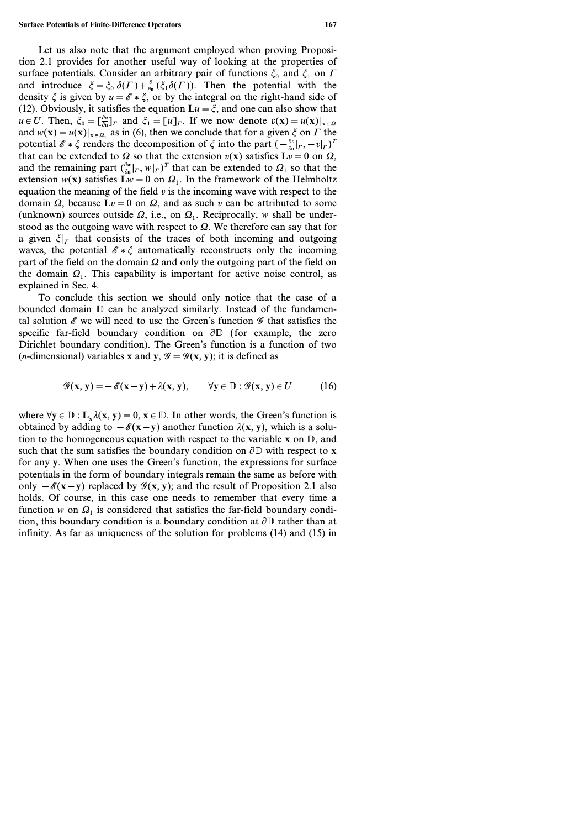#### **Surface Potentials of Finite-Difference Operators 167**

Let us also note that the argument employed when proving Proposition 2.1 provides for another useful way of looking at the properties of surface potentials. Consider an arbitrary pair of functions  $\xi_0$  and  $\xi_1$  on  $\Gamma$ and introduce  $\xi = \xi_0 \delta(\Gamma) + \frac{\partial}{\partial n} (\xi_1 \delta(\Gamma))$ . Then the potential with the density  $\xi$  is given by  $u = \mathscr{E} * \xi$ , or by the integral on the right-hand side of (12). Obviously, it satisfies the equation  $\mathbf{L}u = \xi$ , and one can also show that  $u \in U$ . Then,  $\xi_0 = \left[\frac{\partial u}{\partial n}\right]_T$  and  $\xi_1 = \left[u\right]_T$ . If we now denote  $v(\mathbf{x}) = u(\mathbf{x})|_{\mathbf{x} \in \Omega}$ and  $w(\mathbf{x}) = u(\mathbf{x})|_{\mathbf{x} \in \Omega_1}$  as in (6), then we conclude that for a given  $\xi$  on  $\Gamma$  the potential  $\mathscr{E} * \xi$  renders the decomposition of  $\xi$  into the part  $(-\frac{\partial v}{\partial n}|_F, -v|_F)^T$ that can be extended to  $\Omega$  so that the extension  $v(\mathbf{x})$  satisfies  $\mathbf{L}v = 0$  on  $\Omega$ , and the remaining part  $(\frac{\partial w}{\partial n}|_F, w|_F)^T$  that can be extended to  $\Omega_1$  so that the extension  $w(\bf{x})$  satisfies  $Lw = 0$  on  $\Omega_1$ . In the framework of the Helmholtz equation the meaning of the field *v* is the incoming wave with respect to the domain  $\Omega$ , because  $Lv = 0$  on  $\Omega$ , and as such *v* can be attributed to some (unknown) sources outside  $\Omega$ , i.e., on  $\Omega_1$ . Reciprocally, *w* shall be understood as the outgoing wave with respect to  $\Omega$ . We therefore can say that for a given  $\xi|_{r}$  that consists of the traces of both incoming and outgoing waves, the potential  $\mathscr{E} * \xi$  automatically reconstructs only the incoming part of the field on the domain  $\Omega$  and only the outgoing part of the field on the domain  $\Omega_1$ . This capability is important for active noise control, as explained in Sec. 4.

To conclude this section we should only notice that the case of a bounded domain D can be analyzed similarly. Instead of the fundamental solution  $\mathscr E$  we will need to use the Green's function  $\mathscr G$  that satisfies the specific far-field boundary condition on  $\partial D$  (for example, the zero Dirichlet boundary condition). The Green's function is a function of two (*n*-dimensional) variables **x** and **y**,  $\mathcal{G} = \mathcal{G}(x, y)$ ; it is defined as

$$
\mathcal{G}(\mathbf{x}, \mathbf{y}) = -\mathcal{E}(\mathbf{x} - \mathbf{y}) + \lambda(\mathbf{x}, \mathbf{y}), \qquad \forall \mathbf{y} \in \mathbb{D} : \mathcal{G}(\mathbf{x}, \mathbf{y}) \in U \tag{16}
$$

where  $\forall y \in D : L_x \lambda(x, y) = 0, x \in D$ . In other words, the Green's function is obtained by adding to *−*E*(***x***−***y***)* another function *l(***x***,* **y***)*, which is a solution to the homogeneous equation with respect to the variable **x** on D, and such that the sum satisfies the boundary condition on  $\partial \mathbb{D}$  with respect to **x** for any **y**. When one uses the Green's function, the expressions for surface potentials in the form of boundary integrals remain the same as before with only *−*E*(***x***−***y***)* replaced by G*(***x***,* **y***)*; and the result of Proposition 2.1 also holds. Of course, in this case one needs to remember that every time a function *w* on  $\Omega_1$  is considered that satisfies the far-field boundary condition, this boundary condition is a boundary condition at  $\partial D$  rather than at infinity. As far as uniqueness of the solution for problems (14) and (15) in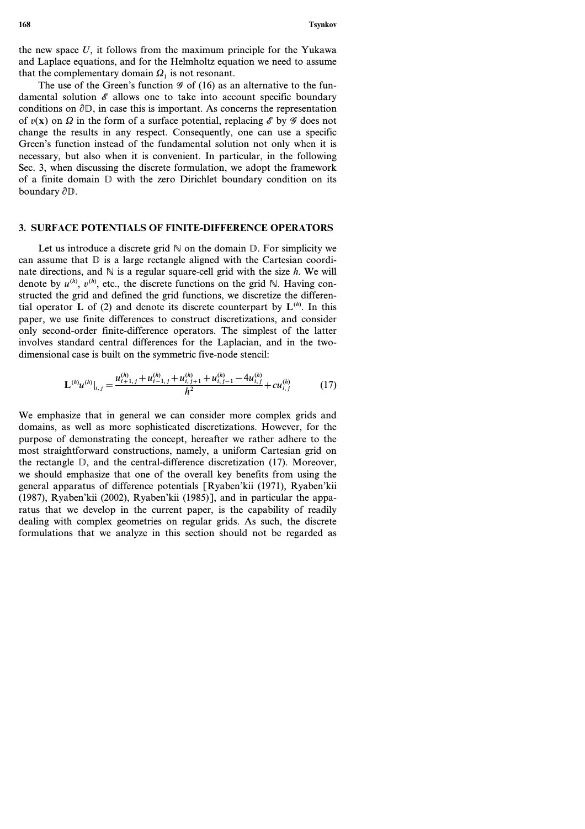the new space *U*, it follows from the maximum principle for the Yukawa and Laplace equations, and for the Helmholtz equation we need to assume that the complementary domain  $\Omega_1$  is not resonant.

The use of the Green's function  $\mathscr G$  of (16) as an alternative to the fundamental solution  $\mathscr E$  allows one to take into account specific boundary conditions on  $\partial \mathbb{D}$ , in case this is important. As concerns the representation of  $v(x)$  on  $\Omega$  in the form of a surface potential, replacing  $\mathscr E$  by  $\mathscr G$  does not change the results in any respect. Consequently, one can use a specific Green's function instead of the fundamental solution not only when it is necessary, but also when it is convenient. In particular, in the following Sec. 3, when discussing the discrete formulation, we adopt the framework of a finite domain D with the zero Dirichlet boundary condition on its boundary  $\partial \mathbb{D}$ .

# **3. SURFACE POTENTIALS OF FINITE-DIFFERENCE OPERATORS**

Let us introduce a discrete grid  $\mathbb N$  on the domain  $\mathbb D$ . For simplicity we can assume that  $\mathbb D$  is a large rectangle aligned with the Cartesian coordinate directions, and  $\mathbb N$  is a regular square-cell grid with the size *h*. We will denote by  $u^{(h)}$ ,  $v^{(h)}$ , etc., the discrete functions on the grid N. Having constructed the grid and defined the grid functions, we discretize the differential operator **L** of (2) and denote its discrete counterpart by  $L^{(h)}$ . In this paper, we use finite differences to construct discretizations, and consider only second-order finite-difference operators. The simplest of the latter involves standard central differences for the Laplacian, and in the twodimensional case is built on the symmetric five-node stencil:

$$
\mathbf{L}^{(h)}u^{(h)}|_{i,j} = \frac{u_{i+1,j}^{(h)} + u_{i-1,j}^{(h)} + u_{i,j+1}^{(h)} + u_{i,j-1}^{(h)} - 4u_{i,j}^{(h)}}{h^2} + cu_{i,j}^{(h)}
$$
(17)

We emphasize that in general we can consider more complex grids and domains, as well as more sophisticated discretizations. However, for the purpose of demonstrating the concept, hereafter we rather adhere to the most straightforward constructions, namely, a uniform Cartesian grid on the rectangle D, and the central-difference discretization (17). Moreover, we should emphasize that one of the overall key benefits from using the general apparatus of difference potentials [Ryaben'kii (1971), Ryaben'kii (1987), Ryaben'kii (2002), Ryaben'kii (1985)], and in particular the apparatus that we develop in the current paper, is the capability of readily dealing with complex geometries on regular grids. As such, the discrete formulations that we analyze in this section should not be regarded as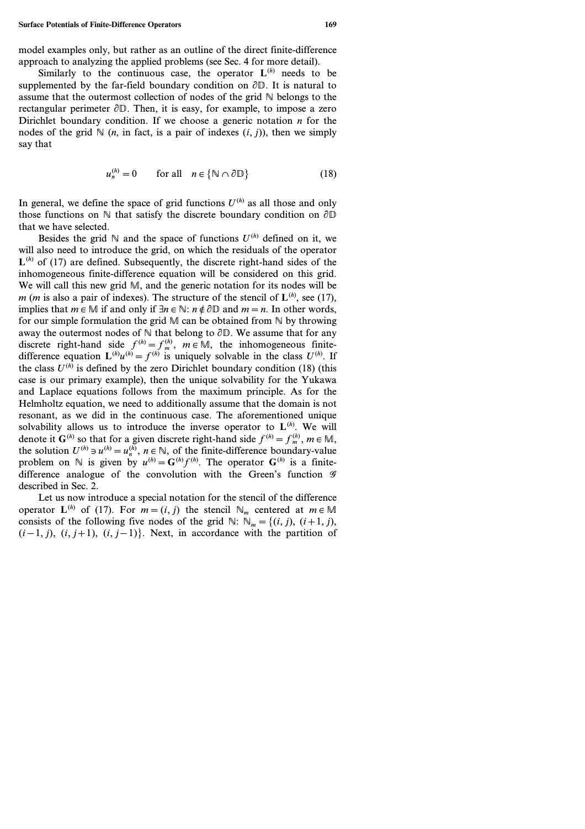#### **Surface Potentials of Finite-Difference Operators 169**

model examples only, but rather as an outline of the direct finite-difference approach to analyzing the applied problems (see Sec. 4 for more detail).

Similarly to the continuous case, the operator  $L^{(h)}$  needs to be supplemented by the far-field boundary condition on  $\partial \mathbb{D}$ . It is natural to assume that the outermost collection of nodes of the grid N belongs to the rectangular perimeter  $\partial \mathbb{D}$ . Then, it is easy, for example, to impose a zero Dirichlet boundary condition. If we choose a generic notation *n* for the nodes of the grid  $\mathbb{N}$  (*n*, in fact, is a pair of indexes  $(i, j)$ ), then we simply say that

$$
u_n^{(h)} = 0 \qquad \text{for all} \quad n \in \{ \mathbb{N} \cap \partial \mathbb{D} \}
$$
 (18)

In general, we define the space of grid functions  $U^{(h)}$  as all those and only those functions on  $\mathbb N$  that satisfy the discrete boundary condition on  $\partial \mathbb D$ that we have selected.

Besides the grid  $\mathbb N$  and the space of functions  $U^{(h)}$  defined on it, we will also need to introduce the grid, on which the residuals of the operator  $L^{(h)}$  of (17) are defined. Subsequently, the discrete right-hand sides of the inhomogeneous finite-difference equation will be considered on this grid. We will call this new grid M, and the generic notation for its nodes will be *m* (*m* is also a pair of indexes). The structure of the stencil of  $\mathbf{L}^{(h)}$ , see (17), implies that  $m \in \mathbb{M}$  if and only if  $\exists n \in \mathbb{N}$ :  $n \notin \partial \mathbb{D}$  and  $m = n$ . In other words, for our simple formulation the grid  $M$  can be obtained from  $N$  by throwing away the outermost nodes of  $\mathbb N$  that belong to  $\partial \mathbb D$ . We assume that for any discrete right-hand side  $f^{(h)} = f_m^{(h)}$ ,  $m \in \mathbb{M}$ , the inhomogeneous finitedifference equation  $\mathbf{L}^{(h)}u^{(h)} = f^{(h)}$  is uniquely solvable in the class  $U^{(h)}$ . If the class  $U^{(h)}$  is defined by the zero Dirichlet boundary condition (18) (this case is our primary example), then the unique solvability for the Yukawa and Laplace equations follows from the maximum principle. As for the Helmholtz equation, we need to additionally assume that the domain is not resonant, as we did in the continuous case. The aforementioned unique solvability allows us to introduce the inverse operator to  $L^{(h)}$ . We will denote it  $\mathbf{G}^{(h)}$  so that for a given discrete right-hand side  $f^{(h)} = f_m^{(h)}$ ,  $m \in \mathbb{M}$ , the solution  $U^{(h)} \ni u^{(h)} = u_n^{(h)}$ ,  $n \in \mathbb{N}$ , of the finite-difference boundary-value problem on N is given by  $u^{(h)} = G^{(h)} f^{(h)}$ . The operator  $G^{(h)}$  is a finitedifference analogue of the convolution with the Green's function  $\mathscr G$ described in Sec. 2.

Let us now introduce a special notation for the stencil of the difference operator  $\mathbf{L}^{(h)}$  of (17). For  $m=(i, j)$  the stencil  $\mathbb{N}_m$  centered at  $m \in \mathbb{M}$ consists of the following five nodes of the grid  $\mathbb{N}: \mathbb{N}_m = \{(i, j), (i+1, j),\}$  $(i-1, j)$ ,  $(i, j+1)$ ,  $(i, j-1)$ }. Next, in accordance with the partition of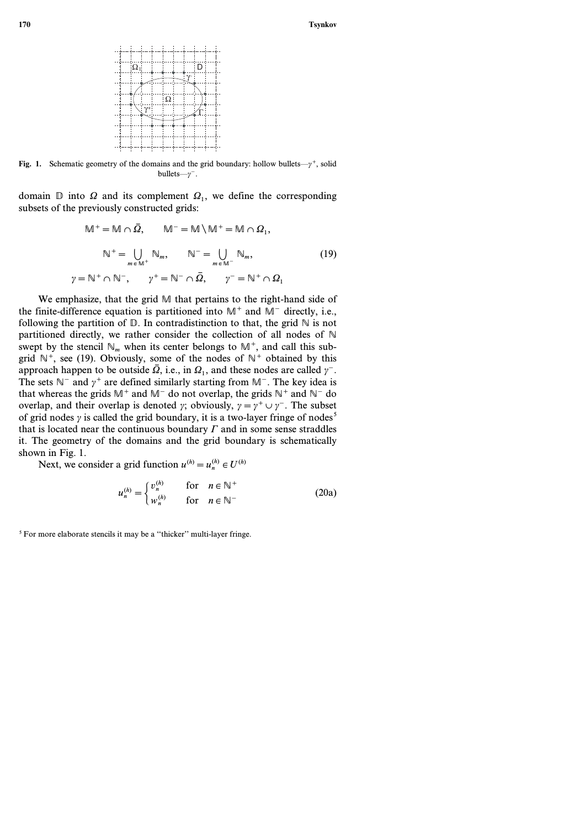

**Fig. 1.** Schematic geometry of the domains and the grid boundary: hollow bullets— $\gamma^+$ , solid bullets—*c<sup>−</sup>*.

domain  $\mathbb D$  into  $\Omega$  and its complement  $\Omega_1$ , we define the corresponding subsets of the previously constructed grids:

$$
\mathbb{M}^{+} = \mathbb{M} \cap \bar{\Omega}, \qquad \mathbb{M}^{-} = \mathbb{M} \setminus \mathbb{M}^{+} = \mathbb{M} \cap \Omega_{1},
$$
\n
$$
\mathbb{N}^{+} = \bigcup_{m \in \mathbb{M}^{+}} \mathbb{N}_{m}, \qquad \mathbb{N}^{-} = \bigcup_{m \in \mathbb{M}^{-}} \mathbb{N}_{m}, \qquad (19)
$$
\n
$$
\gamma = \mathbb{N}^{+} \cap \mathbb{N}^{-}, \qquad \gamma^{+} = \mathbb{N}^{-} \cap \bar{\Omega}, \qquad \gamma^{-} = \mathbb{N}^{+} \cap \Omega_{1}
$$

We emphasize, that the grid M that pertains to the right-hand side of the finite-difference equation is partitioned into M*<sup>+</sup>* and M*<sup>−</sup>* directly, i.e., following the partition of  $\mathbb D$ . In contradistinction to that, the grid  $\mathbb N$  is not partitioned directly, we rather consider the collection of all nodes of  $\mathbb N$ swept by the stencil  $\mathbb{N}_m$  when its center belongs to  $\mathbb{M}^+$ , and call this subgrid  $\mathbb{N}^+$ , see (19). Obviously, some of the nodes of  $\mathbb{N}^+$  obtained by this approach happen to be outside  $\overline{Q}$ , i.e., in  $\Omega_1$ , and these nodes are called  $\gamma^-$ . The sets N<sup>−</sup> and  $\gamma$ <sup>+</sup> are defined similarly starting from M<sup>−</sup>. The key idea is that whereas the grids  $M^+$  and  $M^-$  do not overlap, the grids  $N^+$  and  $N^-$  do overlap, and their overlap is denoted *y*; obviously,  $\gamma = \gamma^+ \cup \gamma^-$ . The subset of grid nodes  $\gamma$  is called the grid boundary, it is a two-layer fringe of nodes<sup>5</sup> that is located near the continuous boundary  $\Gamma$  and in some sense straddles it. The geometry of the domains and the grid boundary is schematically shown in Fig. 1.

Next, we consider a grid function  $u^{(h)} = u_n^{(h)} \in U^{(h)}$ 

$$
u_n^{(h)} = \begin{cases} v_n^{(h)} & \text{for } n \in \mathbb{N}^+ \\ w_n^{(h)} & \text{for } n \in \mathbb{N}^- \end{cases}
$$
 (20a)

<sup>5</sup> For more elaborate stencils it may be a "thicker" multi-layer fringe.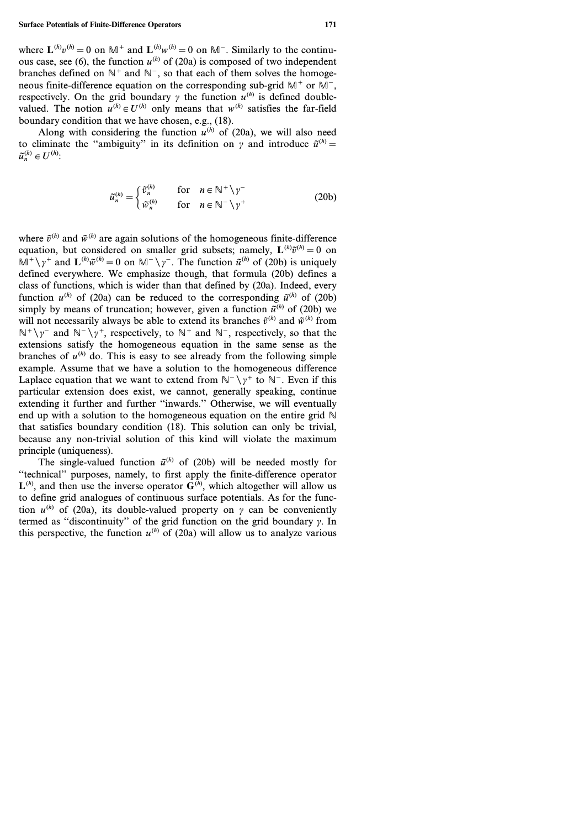#### **Surface Potentials of Finite-Difference Operators 171**

where  $\mathbf{L}^{(h)}v^{(h)} = 0$  on  $\mathbb{M}^+$  and  $\mathbf{L}^{(h)}w^{(h)} = 0$  on  $\mathbb{M}^-$ . Similarly to the continuous case, see (6), the function  $u^{(h)}$  of (20a) is composed of two independent branches defined on N*<sup>+</sup>* and N*<sup>−</sup>*, so that each of them solves the homogeneous finite-difference equation on the corresponding sub-grid M*<sup>+</sup>* or M*<sup>−</sup>*, respectively. On the grid boundary  $\gamma$  the function  $u^{(h)}$  is defined doublevalued. The notion  $u^{(h)} \in U^{(h)}$  only means that  $w^{(h)}$  satisfies the far-field boundary condition that we have chosen, e.g., (18).

Along with considering the function  $u^{(h)}$  of (20a), we will also need to eliminate the "ambiguity" in its definition on  $\gamma$  and introduce  $\tilde{u}^{(h)} =$  $\widetilde{u}_n^{(h)} \in U^{(h)}$ :

$$
\tilde{u}_n^{(h)} = \begin{cases} \tilde{v}_n^{(h)} & \text{for } n \in \mathbb{N}^+ \setminus \gamma^- \\ \tilde{w}_n^{(h)} & \text{for } n \in \mathbb{N}^- \setminus \gamma^+ \end{cases}
$$
 (20b)

where  $\tilde{v}^{(h)}$  and  $\tilde{w}^{(h)}$  are again solutions of the homogeneous finite-difference equation, but considered on smaller grid subsets; namely,  $L^{(h)}\tilde{v}^{(h)} = 0$  on  $M^+$ ∖ $\gamma^+$  and  $L^{(h)}\tilde{w}^{(h)} = 0$  on  $M^-$ ∖ $\gamma^-$ . The function  $\tilde{u}^{(h)}$  of (20b) is uniquely defined everywhere. We emphasize though, that formula (20b) defines a class of functions, which is wider than that defined by (20a). Indeed, every function  $u^{(h)}$  of (20a) can be reduced to the corresponding  $\tilde{u}^{(h)}$  of (20b) simply by means of truncation; however, given a function  $\tilde{u}^{(h)}$  of (20b) we will not necessarily always be able to extend its branches  $\tilde{v}^{(h)}$  and  $\tilde{w}^{(h)}$  from N*<sup>+</sup>*0*c<sup>−</sup>* and N*<sup>−</sup>* 0*c<sup>+</sup>*, respectively, to N*<sup>+</sup>* and N*<sup>−</sup>*, respectively, so that the extensions satisfy the homogeneous equation in the same sense as the branches of  $u^{(h)}$  do. This is easy to see already from the following simple example. Assume that we have a solution to the homogeneous difference Laplace equation that we want to extend from  $\mathbb{N}^- \setminus \gamma^+$  to  $\mathbb{N}^-$ . Even if this particular extension does exist, we cannot, generally speaking, continue extending it further and further "inwards." Otherwise, we will eventually end up with a solution to the homogeneous equation on the entire grid  $\mathbb N$ that satisfies boundary condition (18). This solution can only be trivial, because any non-trivial solution of this kind will violate the maximum principle (uniqueness).

The single-valued function  $\tilde{u}^{(h)}$  of (20b) will be needed mostly for ''technical'' purposes, namely, to first apply the finite-difference operator  $\mathbf{L}^{(h)}$ , and then use the inverse operator  $\mathbf{G}^{(h)}$ , which altogether will allow us to define grid analogues of continuous surface potentials. As for the function  $u^{(h)}$  of (20a), its double-valued property on  $\gamma$  can be conveniently termed as "discontinuity" of the grid function on the grid boundary  $\gamma$ . In this perspective, the function  $u^{(h)}$  of (20a) will allow us to analyze various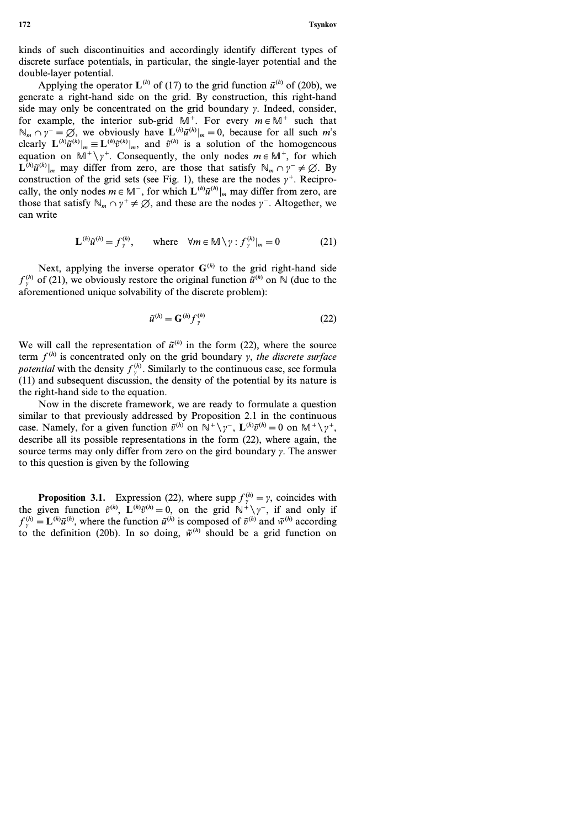kinds of such discontinuities and accordingly identify different types of discrete surface potentials, in particular, the single-layer potential and the double-layer potential.

Applying the operator  $\mathbf{L}^{(h)}$  of (17) to the grid function  $\tilde{u}^{(h)}$  of (20b), we generate a right-hand side on the grid. By construction, this right-hand side may only be concentrated on the grid boundary  $\gamma$ . Indeed, consider, for example, the interior sub-grid  $\mathbb{M}^+$ . For every  $m \in \mathbb{M}^+$  such that  $\mathbb{N}_m$   $\cap$   $\gamma$ <sup>−</sup> =  $\emptyset$ , we obviously have  $\mathbf{L}^{(h)}\tilde{u}^{(h)}|_m = 0$ , because for all such *m*'s clearly  $\mathbf{L}^{(h)}\tilde{\mathbf{u}}^{(h)}|_{m} \equiv \mathbf{L}^{(h)}\tilde{v}^{(h)}|_{m}$ , and  $\tilde{v}^{(h)}$  is a solution of the homogeneous equation on  $\mathbb{M}^+\backslash \gamma^+$ . Consequently, the only nodes  $m \in \mathbb{M}^+$ , for which  $\mathbf{L}^{(h)}\tilde{u}^{(h)}|_{m}$  may differ from zero, are those that satisfy  $\mathbb{N}_{m} \cap \gamma^{-} \neq \emptyset$ . By construction of the grid sets (see Fig. 1), these are the nodes  $\gamma^{+}$ . Reciprocally, the only nodes  $m \in \mathbb{M}^-$ , for which  $\mathbf{L}^{(h)}\tilde{u}^{(h)}|_m$  may differ from zero, are those that satisfy  $\mathbb{N}_m \cap \gamma^+ \neq \emptyset$ , and these are the nodes  $\gamma^-$ . Altogether, we can write

$$
\mathbf{L}^{(h)}\tilde{u}^{(h)} = f_{\gamma}^{(h)}, \qquad \text{where} \quad \forall m \in \mathbb{M} \setminus \gamma : f_{\gamma}^{(h)}|_{m} = 0 \tag{21}
$$

Next, applying the inverse operator  $G^{(h)}$  to the grid right-hand side  $f_{\gamma}^{(h)}$  of (21), we obviously restore the original function  $\tilde{u}^{(h)}$  on  $\mathbb{N}$  (due to the aforementioned unique solvability of the discrete problem):

$$
\tilde{u}^{(h)} = \mathbf{G}^{(h)} f_{\gamma}^{(h)} \tag{22}
$$

We will call the representation of  $\tilde{u}^{(h)}$  in the form (22), where the source term  $f^{(h)}$  is concentrated only on the grid boundary  $\gamma$ , *the discrete surface potential* with the density  $f_{\gamma}^{(h)}$ . Similarly to the continuous case, see formula (11) and subsequent discussion, the density of the potential by its nature is the right-hand side to the equation.

Now in the discrete framework, we are ready to formulate a question similar to that previously addressed by Proposition 2.1 in the continuous case. Namely, for a given function  $\tilde{v}^{(h)}$  on  $\tilde{N}^+\backslash \gamma^-$ ,  $L^{(h)}\tilde{v}^{(h)} = 0$  on  $\mathbb{M}^+\backslash \gamma^+$ , describe all its possible representations in the form (22), where again, the source terms may only differ from zero on the gird boundary  $\gamma$ . The answer to this question is given by the following

**Proposition 3.1.** Expression (22), where supp  $f_{\gamma}^{(h)} = \gamma$ , coincides with the given function  $\tilde{v}^{(h)}$ ,  $\mathbf{L}^{(h)}\tilde{v}^{(h)} = 0$ , on the grid  $\mathbb{N}^{\perp}\setminus\gamma^{-}$ , if and only if  $f^{(h)}_{\gamma} = \mathbf{L}^{(h)} \tilde{u}^{(h)}$ , where the function  $\tilde{u}^{(h)}$  is composed of  $\tilde{v}^{(h)}$  and  $\tilde{w}^{(h)}$  according to the definition (20b). In so doing,  $\tilde{w}^{(h)}$  should be a grid function on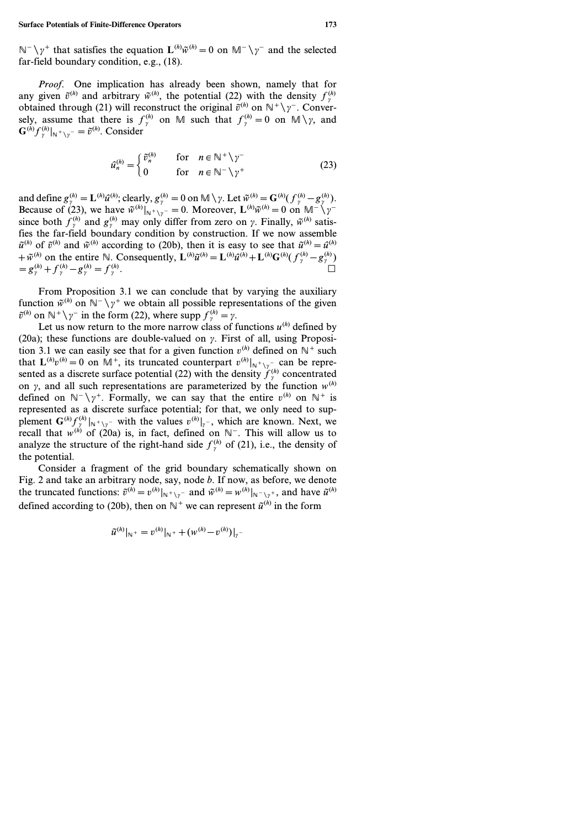N<sup>−</sup>  $\gamma^+$  that satisfies the equation  $L^{(h)}\tilde{w}^{(h)} = 0$  on M<sup>-</sup>  $\gamma^-$  and the selected far-field boundary condition, e.g., (18).

*Proof.* One implication has already been shown, namely that for any given  $\tilde{v}^{(h)}$  and arbitrary  $\tilde{w}^{(h)}$ , the potential (22) with the density  $f^{(h)}_{\gamma}$ obtained through (21) will reconstruct the original  $\tilde{v}^{(h)}$  on  $\mathbb{N}^+\backslash \gamma^-$ . Conversely, assume that there is  $f_{\gamma}^{(h)}$  on M such that  $f_{\gamma}^{(h)} = 0$  on  $M \setminus \gamma$ , and  ${\bf G}^{(h)}f^{(h)}_{\gamma}|_{\mathbb{N}^+ \setminus \gamma^-} = \tilde{v}^{(h)}.$  Consider

$$
\hat{u}_n^{(h)} = \begin{cases} \tilde{v}_n^{(h)} & \text{for } n \in \mathbb{N}^+ \setminus \gamma^- \\ 0 & \text{for } n \in \mathbb{N}^- \setminus \gamma^+ \end{cases}
$$
 (23)

and define  $g_{\gamma}^{(h)} = \mathbf{L}^{(h)} \hat{u}^{(h)}$ ; clearly,  $g_{\gamma}^{(h)} = 0$  on M  $\setminus \gamma$ . Let  $\tilde{w}^{(h)} = \mathbf{G}^{(h)} (\mathcal{f}_{\gamma}^{(h)} - g_{\gamma}^{(h)})$ . Because of (23), we have  $\tilde{w}^{(h)}|_{\mathbb{N}^+\setminus\gamma^-} = 0$ . Moreover,  $\mathbf{L}^{(h)}\tilde{w}^{(h)} = 0$  on  $\mathbb{M}^-\setminus\gamma^$ since both  $f^{(h)}_{\gamma}$  and  $g^{(h)}_{\gamma}$  may only differ from zero on  $\gamma$ . Finally,  $\tilde{w}^{(h)}$  satisfies the far-field boundary condition by construction. If we now assemble  $\tilde{u}^{(h)}$  of  $\tilde{v}^{(h)}$  and  $\tilde{w}^{(h)}$  according to (20b), then it is easy to see that  $\tilde{u}^{(h)} = \hat{u}^{(h)}$  $+\tilde{w}^{(h)}$  on the entire N. Consequently,  $\mathbf{L}^{(h)}\tilde{u}^{(h)} = \mathbf{L}^{(h)}\hat{u}^{(h)} + \mathbf{L}^{(h)}\mathbf{G}^{(h)}(f^{(h)}_{y} - g^{(h)}_{y})$  $= g_{\gamma}^{(h)} + f_{\gamma}^{(h)} - g_{\gamma}^{(h)} = f_{\gamma}^{(h)}$  $\sum_{\gamma}$  .

From Proposition 3.1 we can conclude that by varying the auxiliary function  $\tilde{w}^{(h)}$  on  $\mathbb{N}^- \setminus \gamma^+$  we obtain all possible representations of the given  $\tilde{v}^{(h)}$  on  $\mathbb{N}^+\setminus\gamma^-$  in the form (22), where supp  $f^{(h)}_\gamma = \gamma$ .

Let us now return to the more narrow class of functions  $u^{(h)}$  defined by (20a); these functions are double-valued on  $\gamma$ . First of all, using Proposition 3.1 we can easily see that for a given function  $v^{(h)}$  defined on  $\mathbb{N}^+$  such that  $\mathbf{L}^{(h)}v^{(h)} = 0$  on  $\mathbb{M}^+$ , its truncated counterpart  $v^{(h)}|_{\mathbb{N}^+ \setminus \mathbb{V}^-}$  can be represented as a discrete surface potential (22) with the density  $f_{\gamma}^{(h)}$  concentrated on  $\gamma$ , and all such representations are parameterized by the function  $w^{(h)}$ defined on  $\mathbb{N}^{-}\setminus\gamma^{+}$ . Formally, we can say that the entire  $v^{(h)}$  on  $\mathbb{N}^{+}$  is represented as a discrete surface potential; for that, we only need to supplement  $G^{(h)}f^{(h)}_{\gamma}|_{\mathbb{N}^+\setminus\gamma^-}$  with the values  $v^{(h)}|_{\gamma^-}$ , which are known. Next, we recall that  $w^{(h)}$  of (20a) is, in fact, defined on  $\mathbb{N}^-$ . This will allow us to analyze the structure of the right-hand side  $f_{\gamma}^{(h)}$  of (21), i.e., the density of the potential.

Consider a fragment of the grid boundary schematically shown on Fig. 2 and take an arbitrary node, say, node *b*. If now, as before, we denote the truncated functions:  $\tilde{v}^{(h)} = v^{(h)}|_{\mathbb{N}^+\setminus\gamma^-}$  and  $\tilde{w}^{(h)} = w^{(h)}|_{\mathbb{N}^-\setminus\gamma^+}$ , and have  $\tilde{u}^{(h)}$ defined according to (20b), then on  $\mathbb{N}^+$  we can represent  $\tilde{u}^{(h)}$  in the form

$$
\tilde{u}^{(h)}|_{\mathbb{N}^{+}}=v^{(h)}|_{\mathbb{N}^{+}}+(w^{(h)}-v^{(h)})|_{\gamma}
$$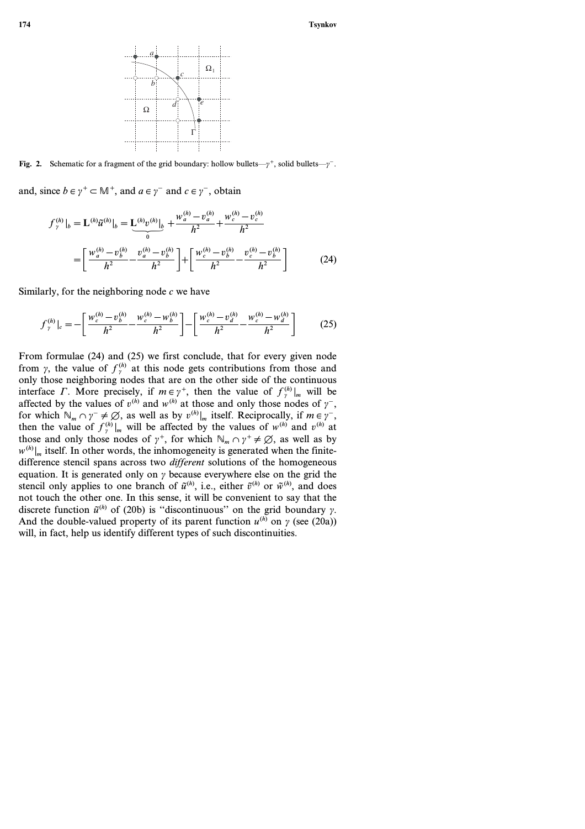

**Fig. 2.** Schematic for a fragment of the grid boundary: hollow bullets—*c<sup>+</sup>*, solid bullets—*c<sup>−</sup>*.

and, since  $b \in \gamma^+ \subset \mathbb{M}^+$ , and  $a \in \gamma^-$  and  $c \in \gamma^-$ , obtain

$$
f_{\gamma}^{(h)}|_{b} = \mathbf{L}^{(h)} \tilde{u}^{(h)}|_{b} = \underbrace{\mathbf{L}^{(h)} v^{(h)}|_{b}}_{0} + \frac{w_{a}^{(h)} - v_{a}^{(h)}}{h^{2}} + \frac{w_{c}^{(h)} - v_{c}^{(h)}}{h^{2}}
$$
\n
$$
= \left[ \frac{w_{a}^{(h)} - v_{b}^{(h)}}{h^{2}} - \frac{v_{a}^{(h)} - v_{b}^{(h)}}{h^{2}} \right] + \left[ \frac{w_{c}^{(h)} - v_{b}^{(h)}}{h^{2}} - \frac{v_{c}^{(h)} - v_{b}^{(h)}}{h^{2}} \right] \tag{24}
$$

Similarly, for the neighboring node *c* we have

$$
f_{\gamma}^{(h)}|_{c} = -\left[\frac{w_{c}^{(h)} - v_{b}^{(h)}}{h^{2}} - \frac{w_{c}^{(h)} - w_{b}^{(h)}}{h^{2}}\right] - \left[\frac{w_{c}^{(h)} - v_{d}^{(h)}}{h^{2}} - \frac{w_{c}^{(h)} - w_{d}^{(h)}}{h^{2}}\right]
$$
(25)

From formulae (24) and (25) we first conclude, that for every given node from  $\gamma$ , the value of  $f_{\gamma}^{(h)}$  at this node gets contributions from those and only those neighboring nodes that are on the other side of the continuous interface *Γ*. More precisely, if  $m \in \gamma^+$ , then the value of  $f_{\gamma}^{(h)}|_{m}$  will be affected by the values of  $v^{(h)}$  and  $w^{(h)}$  at those and only those nodes of  $\gamma^-$ , for which  $\mathbb{N}_m \cap \gamma^- \neq \emptyset$ , as well as by  $v^{(h)}|_m$  itself. Reciprocally, if  $m \in \gamma^-$ , then the value of  $f_{\gamma}^{(h)}|_{m}$  will be affected by the values of  $w^{(h)}$  and  $v^{(h)}$  at those and only those nodes of  $\gamma^+$ , for which  $\mathbb{N}_m \cap \gamma^+ \neq \emptyset$ , as well as by  $w^{(h)}|_{m}$  itself. In other words, the inhomogeneity is generated when the finitedifference stencil spans across two *different* solutions of the homogeneous equation. It is generated only on  $\gamma$  because everywhere else on the grid the stencil only applies to one branch of  $\tilde{u}^{(h)}$ , i.e., either  $\tilde{v}^{(h)}$  or  $\tilde{w}^{(h)}$ , and does not touch the other one. In this sense, it will be convenient to say that the discrete function  $\tilde{u}^{(h)}$  of (20b) is "discontinuous" on the grid boundary  $\gamma$ . And the double-valued property of its parent function  $u^{(h)}$  on  $\gamma$  (see (20a)) will, in fact, help us identify different types of such discontinuities.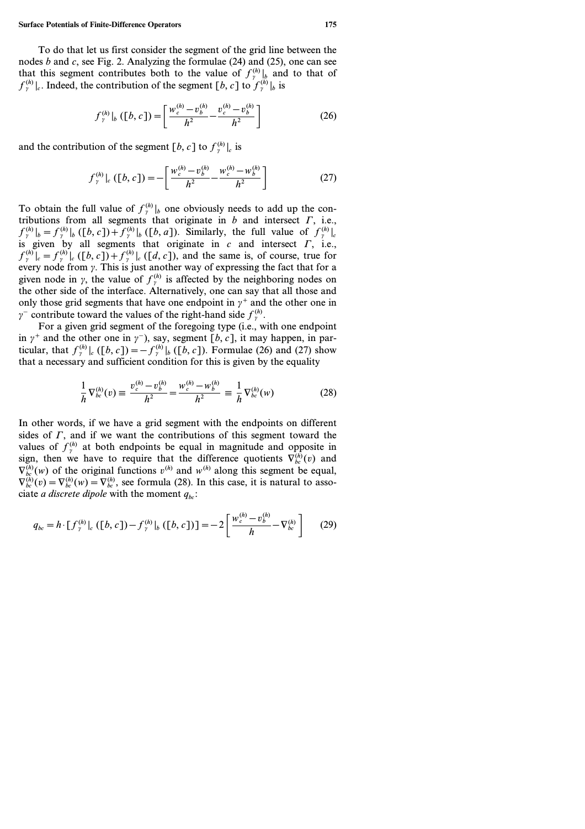#### **Surface Potentials of Finite-Difference Operators 175**

To do that let us first consider the segment of the grid line between the nodes *b* and *c*, see Fig. 2. Analyzing the formulae (24) and (25), one can see that this segment contributes both to the value of  $f^{(h)}_{\gamma}|_b$  and to that of  $f_{\gamma}^{(h)}|_{c}$ . Indeed, the contribution of the segment  $[b, c]$  to  $f_{\gamma}^{(h)}|_{b}$  is

$$
f_{\gamma}^{(h)}|_{b} ([b, c]) = \left[ \frac{w_{c}^{(h)} - v_{b}^{(h)}}{h^{2}} - \frac{v_{c}^{(h)} - v_{b}^{(h)}}{h^{2}} \right]
$$
(26)

and the contribution of the segment  $[b, c]$  to  $f_{\gamma}^{(h)}|_c$  is

$$
f_{\gamma}^{(h)}|_{c} ([b, c]) = -\left[\frac{w_{c}^{(h)} - v_{b}^{(h)}}{h^{2}} - \frac{w_{c}^{(h)} - w_{b}^{(h)}}{h^{2}}\right]
$$
(27)

To obtain the full value of  $f_\gamma^{(h)}|_b$  one obviously needs to add up the contributions from all segments that originate in  $b$  and intersect  $\Gamma$ , i.e.,  $f_{\gamma}^{(h)}|_{b} = f_{\gamma}^{(h)}|_{b} ([b, c]) + f_{\gamma}^{(h)}|_{b} ([b, a]).$  Similarly, the full value of  $f_{\gamma}^{(h)}|_{c}$ is given by all segments that originate in *c* and intersect *C*, i.e.,  $f_{\gamma}^{(h)}|_{c} = f_{\gamma}^{(h)}|_{c}([b, c]) + f_{\gamma}^{(h)}|_{c}([d, c])$ , and the same is, of course, true for every node from  $\gamma$ . This is just another way of expressing the fact that for a given node in  $\gamma$ , the value of  $f_{\gamma}^{(h)}$  is affected by the neighboring nodes on the other side of the interface. Alternatively, one can say that all those and only those grid segments that have one endpoint in  $\gamma^+$  and the other one in *c*<sup>*c*</sup> contribute toward the values of the right-hand side  $f^{(h)}_y$ .

For a given grid segment of the foregoing type (i.e., with one endpoint in  $\gamma$ <sup>+</sup> and the other one in  $\gamma$ <sup>−</sup>), say, segment [b, c], it may happen, in particular, that  $f_{\gamma}^{(h)}|_{c}([b, c]) = -f_{\gamma}^{(h)}|_{b}([b, c])$ . Formulae (26) and (27) show that a necessary and sufficient condition for this is given by the equality

$$
\frac{1}{h}\nabla_{bc}^{(h)}(v) \equiv \frac{v_c^{(h)} - v_b^{(h)}}{h^2} = \frac{w_c^{(h)} - w_b^{(h)}}{h^2} \equiv \frac{1}{h}\nabla_{bc}^{(h)}(w)
$$
\n(28)

In other words, if we have a grid segment with the endpoints on different sides of  $\Gamma$ , and if we want the contributions of this segment toward the values of  $f_{\gamma}^{(h)}$  at both endpoints be equal in magnitude and opposite in sign, then we have to require that the difference quotients  $\nabla_{bc}^{(h)}(v)$  and  $\nabla_{bc}^{(h)}(w)$  of the original functions  $v^{(h)}$  and  $w^{(h)}$  along this segment be equal,  $\nabla_{bc}^{(h)}(v) = \nabla_{bc}^{(h)}(w) = \nabla_{bc}^{(h)}$ , see formula (28). In this case, it is natural to associate *a discrete dipole* with the moment  $q_{bc}$ :

$$
q_{bc} = h \cdot [f_{\gamma}^{(h)}|_{c} ([b, c]) - f_{\gamma}^{(h)}|_{b} ([b, c])] = -2 \left[ \frac{w_{c}^{(h)} - v_{b}^{(h)}}{h} - \nabla_{bc}^{(h)} \right]
$$
(29)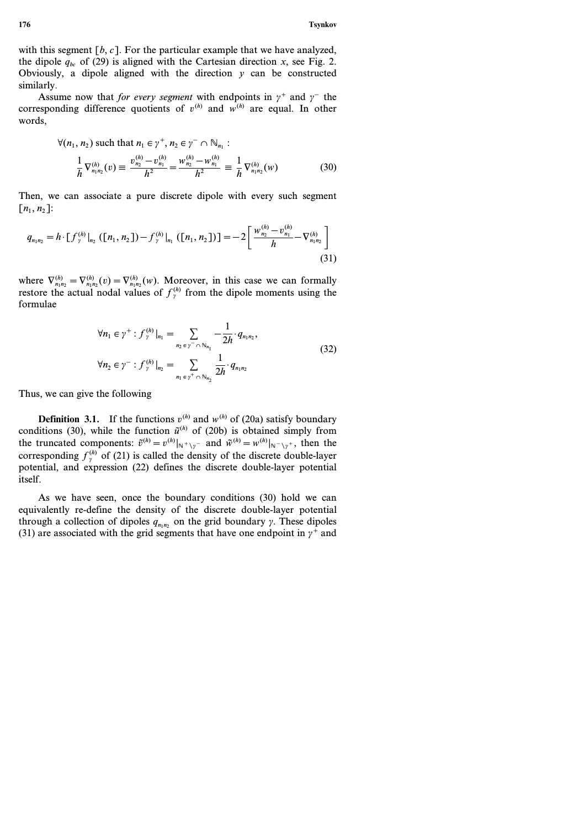with this segment *[b, c]*. For the particular example that we have analyzed, the dipole  $q_{bc}$  of (29) is aligned with the Cartesian direction *x*, see Fig. 2. Obviously, a dipole aligned with the direction *y* can be constructed similarly.

Assume now that *for every segment* with endpoints in  $\gamma^+$  and  $\gamma^-$  the corresponding difference quotients of  $v^{(h)}$  and  $w^{(h)}$  are equal. In other words,

$$
\forall (n_1, n_2) \text{ such that } n_1 \in \gamma^+, n_2 \in \gamma^- \cap \mathbb{N}_{n_1} : \frac{1}{h} \nabla_{n_1 n_2}^{(h)}(v) \equiv \frac{v_{n_2}^{(h)} - v_{n_1}^{(h)}}{h^2} = \frac{w_{n_2}^{(h)} - w_{n_1}^{(h)}}{h^2} \equiv \frac{1}{h} \nabla_{n_1 n_2}^{(h)}(w) \tag{30}
$$

Then, we can associate a pure discrete dipole with every such segment  $[n_1, n_2]$ :

$$
q_{n_1n_2} = h \cdot [f_{\gamma}^{(h)}|_{n_2} ([n_1, n_2]) - f_{\gamma}^{(h)}|_{n_1} ([n_1, n_2])] = -2 \left[ \frac{w_{n_2}^{(h)} - v_{n_1}^{(h)}}{h} - \nabla_{n_1n_2}^{(h)} \right]
$$
\n(31)

where  $\nabla_{n_1n_2}^{(h)} = \nabla_{n_1n_2}^{(h)}(v) = \nabla_{n_1n_2}^{(h)}(w)$ . Moreover, in this case we can formally restore the actual nodal values of  $f_{\gamma}^{(h)}$  from the dipole moments using the formulae

$$
\forall n_1 \in \gamma^+ : f_{\gamma}^{(h)}|_{n_1} = \sum_{n_2 \in \gamma^- \cap N_{n_1}} -\frac{1}{2h} \cdot q_{n_1 n_2},
$$
  

$$
\forall n_2 \in \gamma^- : f_{\gamma}^{(h)}|_{n_2} = \sum_{n_1 \in \gamma^+ \cap N_{n_2}} \frac{1}{2h} \cdot q_{n_1 n_2}
$$
 (32)

Thus, we can give the following

**Definition 3.1.** If the functions  $v^{(h)}$  and  $w^{(h)}$  of (20a) satisfy boundary conditions (30), while the function  $\tilde{u}^{(h)}$  of (20b) is obtained simply from the truncated components:  $\tilde{v}^{(h)} = v^{(h)}|_{\mathbb{N}^+\setminus\mathbb{V}^-}$  and  $\tilde{w}^{(h)} = w^{(h)}|_{\mathbb{N}^-\setminus\mathbb{V}^+}$ , then the corresponding  $f_{\gamma}^{(h)}$  of (21) is called the density of the discrete double-layer potential, and expression (22) defines the discrete double-layer potential itself.

As we have seen, once the boundary conditions (30) hold we can equivalently re-define the density of the discrete double-layer potential through a collection of dipoles  $q_{n,n}$  on the grid boundary  $\gamma$ . These dipoles (31) are associated with the grid segments that have one endpoint in  $\gamma^+$  and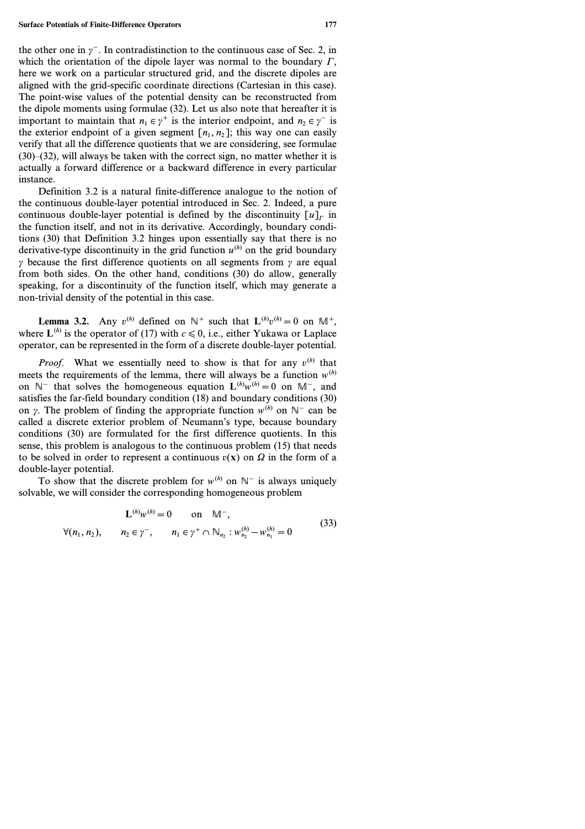the other one in  $\gamma$ <sup>−</sup>. In contradistinction to the continuous case of Sec. 2, in which the orientation of the dipole layer was normal to the boundary  $\Gamma$ , here we work on a particular structured grid, and the discrete dipoles are aligned with the grid-specific coordinate directions (Cartesian in this case). The point-wise values of the potential density can be reconstructed from the dipole moments using formulae (32). Let us also note that hereafter it is important to maintain that  $n_1 \in \gamma^+$  is the interior endpoint, and  $n_2 \in \gamma^-$  is the exterior endpoint of a given segment  $[n_1, n_2]$ ; this way one can easily verify that all the difference quotients that we are considering, see formulae (30)–(32), will always be taken with the correct sign, no matter whether it is actually a forward difference or a backward difference in every particular instance.

Definition 3.2 is a natural finite-difference analogue to the notion of the continuous double-layer potential introduced in Sec. 2. Indeed, a pure continuous double-layer potential is defined by the discontinuity  $\lceil u \rceil$ *C* in the function itself, and not in its derivative. Accordingly, boundary conditions (30) that Definition 3.2 hinges upon essentially say that there is no derivative-type discontinuity in the grid function  $u^{(h)}$  on the grid boundary  $\gamma$  because the first difference quotients on all segments from  $\gamma$  are equal from both sides. On the other hand, conditions (30) do allow, generally speaking, for a discontinuity of the function itself, which may generate a non-trivial density of the potential in this case.

**Lemma 3.2.** Any  $v^{(h)}$  defined on  $\mathbb{N}^+$  such that  $L^{(h)}v^{(h)} = 0$  on  $\mathbb{M}^+$ , where  $\mathbf{L}^{(h)}$  is the operator of (17) with  $c \le 0$ , i.e., either Yukawa or Laplace operator, can be represented in the form of a discrete double-layer potential.

*Proof.* What we essentially need to show is that for any *v(h)* that meets the requirements of the lemma, there will always be a function  $w^{(h)}$ on  $\mathbb{N}^-$  that solves the homogeneous equation  $\mathbf{L}^{(h)}w^{(h)} = 0$  on  $\mathbb{M}^-$ , and satisfies the far-field boundary condition (18) and boundary conditions (30) on *y*. The problem of finding the appropriate function  $w^{(h)}$  on  $\mathbb{N}^-$  can be called a discrete exterior problem of Neumann's type, because boundary conditions (30) are formulated for the first difference quotients. In this sense, this problem is analogous to the continuous problem (15) that needs to be solved in order to represent a continuous  $v(\mathbf{x})$  on  $\Omega$  in the form of a double-layer potential.

To show that the discrete problem for  $w^{(h)}$  on  $\mathbb{N}^-$  is always uniquely solvable, we will consider the corresponding homogeneous problem

$$
\mathbf{L}^{(h)}w^{(h)} = 0 \quad \text{on} \quad \mathbb{M}^-,
$$
  

$$
\forall (n_1, n_2), \qquad n_2 \in \gamma^-, \qquad n_1 \in \gamma^+ \cap \mathbb{N}_{n_2} : w_{n_2}^{(h)} - w_{n_1}^{(h)} = 0 \tag{33}
$$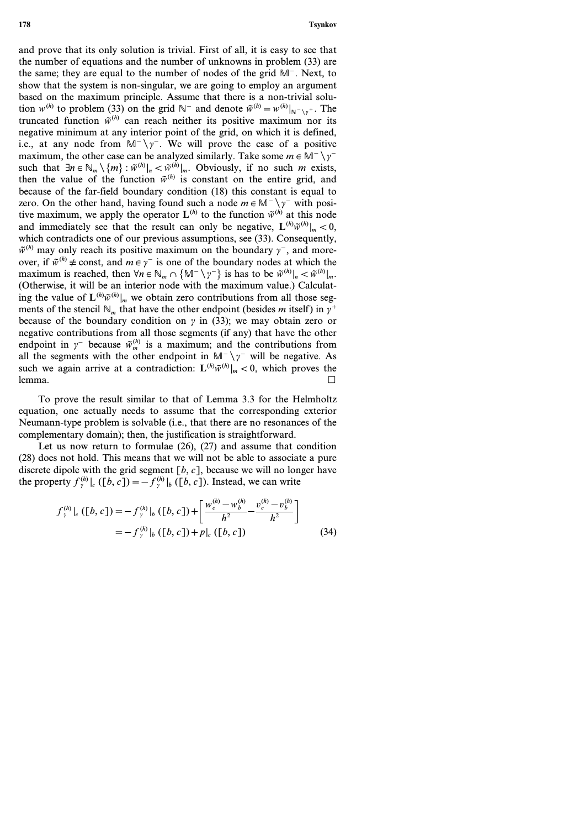and prove that its only solution is trivial. First of all, it is easy to see that the number of equations and the number of unknowns in problem (33) are the same; they are equal to the number of nodes of the grid M*<sup>−</sup>*. Next, to show that the system is non-singular, we are going to employ an argument based on the maximum principle. Assume that there is a non-trivial solution *w*<sup>(*h*)</sup> to problem (33) on the grid  $\mathbb{N}^-$  and denote  $\tilde{w}^{(h)} = w^{(h)}|_{\mathbb{N}^- \setminus v^+}$ . The truncated function  $\tilde{w}^{(h)}$  can reach neither its positive maximum nor its negative minimum at any interior point of the grid, on which it is defined, i.e., at any node from M*<sup>−</sup>* 0*c<sup>−</sup>*. We will prove the case of a positive maximum, the other case can be analyzed similarly. Take some  $m \in \mathbb{M}^- \setminus \gamma^$ such that  $\exists n \in \mathbb{N}_m \setminus \{m\} : \tilde{w}^{(h)}|_{n} < \tilde{w}^{(h)}|_{m}$ . Obviously, if no such *m* exists, then the value of the function  $\tilde{w}^{(h)}$  is constant on the entire grid, and because of the far-field boundary condition (18) this constant is equal to zero. On the other hand, having found such a node  $m \in M^{-} \setminus \gamma^{-}$  with positive maximum, we apply the operator  $\mathbf{L}^{(h)}$  to the function  $\tilde{\mathbf{w}}^{(h)}$  at this node and immediately see that the result can only be negative,  $\mathbf{L}^{(h)}\tilde{w}^{(h)}|_{m} < 0$ , which contradicts one of our previous assumptions, see (33). Consequently,  $\tilde{w}^{(h)}$  may only reach its positive maximum on the boundary  $\gamma^-$ , and moreover, if  $\tilde{w}^{(h)}$  ≠ const, and  $m \in \gamma^-$  is one of the boundary nodes at which the maximum is reached, then  $\forall n \in \mathbb{N}_m \cap \{ \mathbb{M}^-\setminus \gamma^-\}$  is has to be  $\tilde{w}^{(h)}|_n < \tilde{w}^{(h)}|_m$ . (Otherwise, it will be an interior node with the maximum value.) Calculating the value of  $\mathbf{L}^{(h)}\tilde{w}^{(h)}|_m$  we obtain zero contributions from all those segments of the stencil  $\mathbb{N}_m$  that have the other endpoint (besides *m* itself) in  $\gamma^+$ because of the boundary condition on  $\gamma$  in (33); we may obtain zero or negative contributions from all those segments (if any) that have the other endpoint in  $\gamma$ <sup>−</sup> because  $\tilde{w}_m^{(h)}$  is a maximum; and the contributions from all the segments with the other endpoint in  $M^{-} \gamma^{-}$  will be negative. As such we again arrive at a contradiction:  $\mathbf{L}^{(h)}\tilde{w}^{(h)}|_{m} < 0$ , which proves the lemma.

To prove the result similar to that of Lemma 3.3 for the Helmholtz equation, one actually needs to assume that the corresponding exterior Neumann-type problem is solvable (i.e., that there are no resonances of the complementary domain); then, the justification is straightforward.

Let us now return to formulae (26), (27) and assume that condition (28) does not hold. This means that we will not be able to associate a pure discrete dipole with the grid segment *[b, c]*, because we will no longer have the property  $f_{\gamma}^{(h)}|_c$  ([b, c]) =  $-f_{\gamma}^{(h)}|_b$  ([b, c]). Instead, we can write

$$
f_{\gamma}^{(h)}|_{c} ([b, c]) = -f_{\gamma}^{(h)}|_{b} ([b, c]) + \left[ \frac{w_{c}^{(h)} - w_{b}^{(h)}}{h^{2}} - \frac{v_{c}^{(h)} - v_{b}^{(h)}}{h^{2}} \right]
$$
  
= 
$$
-f_{\gamma}^{(h)}|_{b} ([b, c]) + p|_{c} ([b, c])
$$
 (34)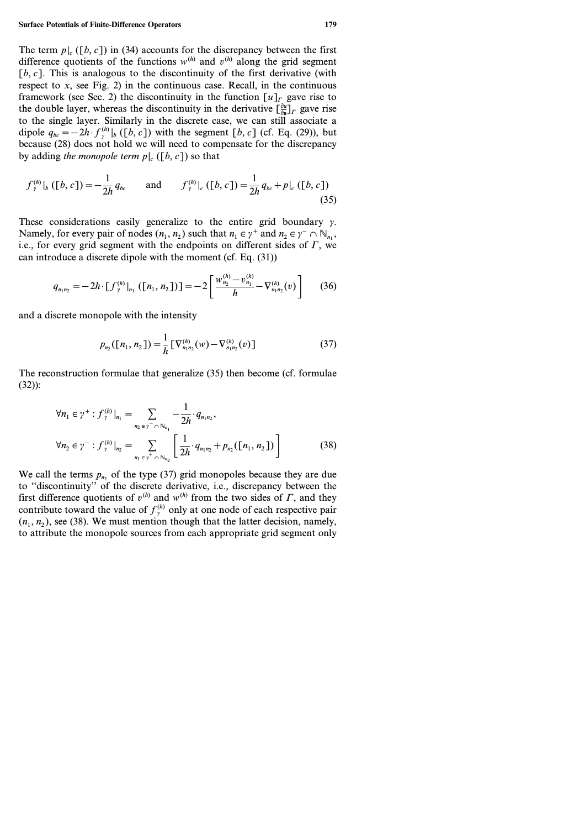#### **Surface Potentials of Finite-Difference Operators 179**

The term  $p|_{c}$  ([b, c]) in (34) accounts for the discrepancy between the first difference quotients of the functions  $w^{(h)}$  and  $v^{(h)}$  along the grid segment [b, c]. This is analogous to the discontinuity of the first derivative (with respect to  $x$ , see Fig. 2) in the continuous case. Recall, in the continuous framework (see Sec. 2) the discontinuity in the function  $[u]_T$  gave rise to the double layer, whereas the discontinuity in the derivative  $\left[\frac{\partial u}{\partial n}\right]_T$  gave rise to the single layer. Similarly in the discrete case, we can still associate a dipole  $q_{bc} = -2h \cdot f_{\gamma}^{(h)}|_{b}$  ([b, c]) with the segment [b, c] (cf. Eq. (29)), but because (28) does not hold we will need to compensate for the discrepancy by adding *the monopole term*  $p|_{c}$  ([b, c]) so that

$$
f_{\gamma}^{(h)}|_{b}([b, c]) = -\frac{1}{2h}q_{bc} \quad \text{and} \quad f_{\gamma}^{(h)}|_{c}([b, c]) = \frac{1}{2h}q_{bc} + p|_{c}([b, c])
$$
\n(35)

These considerations easily generalize to the entire grid boundary  $\gamma$ . Namely, for every pair of nodes  $(n_1, n_2)$  such that  $n_1 \in \gamma^+$  and  $n_2 \in \gamma^- \cap \mathbb{N}_n$ , i.e., for every grid segment with the endpoints on different sides of *C*, we can introduce a discrete dipole with the moment (cf. Eq. (31))

$$
q_{n_1n_2} = -2h \cdot [f_{\gamma}^{(h)}|_{n_1} ([n_1, n_2])] = -2 \left[ \frac{w_{n_2}^{(h)} - v_{n_1}^{(h)}}{h} - \nabla_{n_1n_2}^{(h)}(v) \right]
$$
(36)

and a discrete monopole with the intensity

$$
p_{n_2}([n_1, n_2]) = \frac{1}{h} \left[ \nabla_{n_1 n_2}^{(h)}(w) - \nabla_{n_1 n_2}^{(h)}(v) \right]
$$
 (37)

The reconstruction formulae that generalize (35) then become (cf. formulae (32)):

$$
\forall n_1 \in \gamma^+ : f_{\gamma}^{(h)}|_{n_1} = \sum_{n_2 \in \gamma^- \cap N_{n_1}} -\frac{1}{2h} \cdot q_{n_1 n_2},
$$
  

$$
\forall n_2 \in \gamma^- : f_{\gamma}^{(h)}|_{n_2} = \sum_{n_1 \in \gamma^+ \cap N_{n_2}} \left[ \frac{1}{2h} \cdot q_{n_1 n_2} + p_{n_2}([n_1, n_2]) \right]
$$
(38)

We call the terms  $p_n$ , of the type (37) grid monopoles because they are due to ''discontinuity'' of the discrete derivative, i.e., discrepancy between the first difference quotients of  $v^{(h)}$  and  $w^{(h)}$  from the two sides of  $\Gamma$ , and they contribute toward the value of  $f_{\gamma}^{(h)}$  only at one node of each respective pair  $(n_1, n_2)$ , see (38). We must mention though that the latter decision, namely, to attribute the monopole sources from each appropriate grid segment only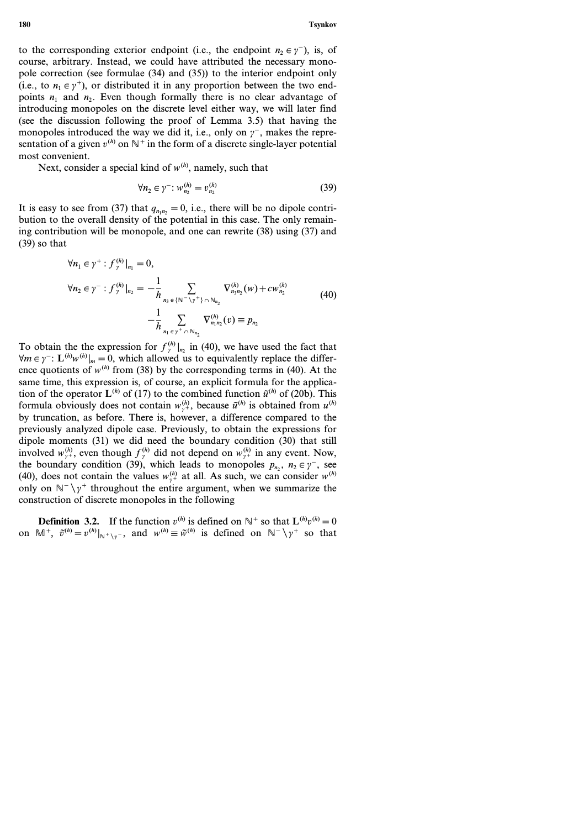to the corresponding exterior endpoint (i.e., the endpoint  $n_2 \in \gamma^-$ ), is, of course, arbitrary. Instead, we could have attributed the necessary monopole correction (see formulae (34) and (35)) to the interior endpoint only (i.e., to  $n_1 \in \gamma^+$ ), or distributed it in any proportion between the two endpoints  $n_1$  and  $n_2$ . Even though formally there is no clear advantage of introducing monopoles on the discrete level either way, we will later find (see the discussion following the proof of Lemma 3.5) that having the monopoles introduced the way we did it, i.e., only on  $\gamma$ <sup>−</sup>, makes the representation of a given  $v^{(h)}$  on  $\mathbb{N}^+$  in the form of a discrete single-layer potential most convenient.

Next, consider a special kind of  $w^{(h)}$ , namely, such that

$$
\forall n_2 \in \gamma^- \colon w_{n_2}^{(h)} = v_{n_2}^{(h)} \tag{39}
$$

It is easy to see from (37) that  $q_{n_1n_2}=0$ , i.e., there will be no dipole contribution to the overall density of the potential in this case. The only remaining contribution will be monopole, and one can rewrite (38) using (37) and (39) so that

$$
\forall n_1 \in \gamma^+ : f_{\gamma}^{(h)}|_{n_1} = 0,
$$
  

$$
\forall n_2 \in \gamma^- : f_{\gamma}^{(h)}|_{n_2} = -\frac{1}{h} \sum_{n_3 \in \{N^- \setminus \gamma^+\} \cap N_{n_2}} \nabla_{n_3 n_2}^{(h)}(w) + c w_{n_2}^{(h)}
$$
  

$$
-\frac{1}{h} \sum_{n_1 \in \gamma^+ \cap N_{n_2}} \nabla_{n_1 n_2}^{(h)}(v) \equiv p_{n_2}
$$
 (40)

To obtain the the expression for  $f_{\gamma}^{(h)}|_{n_2}$  in (40), we have used the fact that  $\forall m \in \gamma^{-}$ : **L**<sup>(h)</sup>*w*<sup>(h)</sup>|<sub>*m*</sub> = 0, which allowed us to equivalently replace the difference quotients of  $w^{(h)}$  from (38) by the corresponding terms in (40). At the same time, this expression is, of course, an explicit formula for the application of the operator  $L^{(h)}$  of (17) to the combined function  $\tilde{u}^{(h)}$  of (20b). This formula obviously does not contain  $w_{\gamma}^{(h)}$ , because  $\tilde{u}^{(h)}$  is obtained from  $u^{(h)}$ by truncation, as before. There is, however, a difference compared to the previously analyzed dipole case. Previously, to obtain the expressions for dipole moments (31) we did need the boundary condition (30) that still involved  $w_{\gamma}^{(h)}$ , even though  $f_{\gamma}^{(h)}$  did not depend on  $w_{\gamma}^{(h)}$  in any event. Now, the boundary condition (39), which leads to monopoles  $p_{n_2}$ ,  $n_2 \in \gamma^-$ , see (40), does not contain the values  $w_{\gamma+}^{(h)}$  at all. As such, we can consider  $w^{(h)}$ only on N<sup>−</sup> \ $\gamma$ <sup>+</sup> throughout the entire argument, when we summarize the construction of discrete monopoles in the following

**Definition 3.2.** If the function  $v^{(h)}$  is defined on  $\mathbb{N}^+$  so that  $\mathbf{L}^{(h)}v^{(h)} = 0$ on  $\mathbb{M}^+$ ,  $\tilde{v}^{(h)} = v^{(h)}|_{\mathbb{N}^+ \setminus \nu^-}$ , and  $w^{(h)} \equiv \tilde{w}^{(h)}$  is defined on  $\mathbb{N}^- \setminus \gamma^+$  so that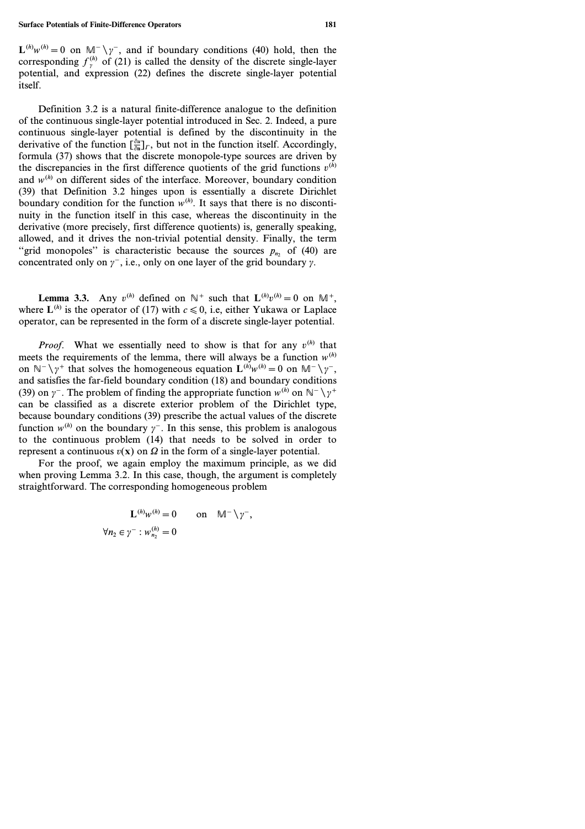$L^{(h)}w^{(h)} = 0$  on M<sup>-</sup>  $\gamma^-,$  and if boundary conditions (40) hold, then the corresponding  $f_{\gamma}^{(h)}$  of (21) is called the density of the discrete single-layer potential, and expression (22) defines the discrete single-layer potential itself.

Definition 3.2 is a natural finite-difference analogue to the definition of the continuous single-layer potential introduced in Sec. 2. Indeed, a pure continuous single-layer potential is defined by the discontinuity in the derivative of the function  $\left[\frac{\partial u}{\partial n}\right]_T$ , but not in the function itself. Accordingly, formula (37) shows that the discrete monopole-type sources are driven by the discrepancies in the first difference quotients of the grid functions  $v^{(h)}$ and  $w^{(h)}$  on different sides of the interface. Moreover, boundary condition (39) that Definition 3.2 hinges upon is essentially a discrete Dirichlet boundary condition for the function *w(h)*. It says that there is no discontinuity in the function itself in this case, whereas the discontinuity in the derivative (more precisely, first difference quotients) is, generally speaking, allowed, and it drives the non-trivial potential density. Finally, the term "grid monopoles" is characteristic because the sources  $p_n$  of (40) are concentrated only on  $\gamma$ <sup>−</sup>, i.e., only on one layer of the grid boundary  $\gamma$ .

**Lemma 3.3.** Any  $v^{(h)}$  defined on  $\mathbb{N}^+$  such that  $L^{(h)}v^{(h)} = 0$  on  $\mathbb{M}^+$ , where  $\mathbf{L}^{(h)}$  is the operator of (17) with  $c \le 0$ , i.e, either Yukawa or Laplace operator, can be represented in the form of a discrete single-layer potential.

*Proof.* What we essentially need to show is that for any *v(h)* that meets the requirements of the lemma, there will always be a function  $w^{(h)}$ on  $\mathbb{N}^- \setminus \gamma^+$  that solves the homogeneous equation  $\mathbf{L}^{(h)} w^{(h)} = 0$  on  $\mathbb{M}^- \setminus \gamma^-$ , and satisfies the far-field boundary condition (18) and boundary conditions (39) on  $\gamma$ <sup>−</sup>. The problem of finding the appropriate function  $w^{(h)}$  on  $\mathbb{N}$ <sup>−</sup>  $\gamma$ <sup>+</sup> can be classified as a discrete exterior problem of the Dirichlet type, because boundary conditions (39) prescribe the actual values of the discrete function  $w^{(h)}$  on the boundary  $y^{-}$ . In this sense, this problem is analogous to the continuous problem (14) that needs to be solved in order to represent a continuous  $v(\mathbf{x})$  on  $\Omega$  in the form of a single-layer potential.

For the proof, we again employ the maximum principle, as we did when proving Lemma 3.2. In this case, though, the argument is completely straightforward. The corresponding homogeneous problem

$$
\mathbf{L}^{(h)}w^{(h)} = 0 \qquad \text{on} \quad \mathbb{M}^{-}\setminus \gamma^{-},
$$
  

$$
\forall n_2 \in \gamma^{-}: w_{n_2}^{(h)} = 0
$$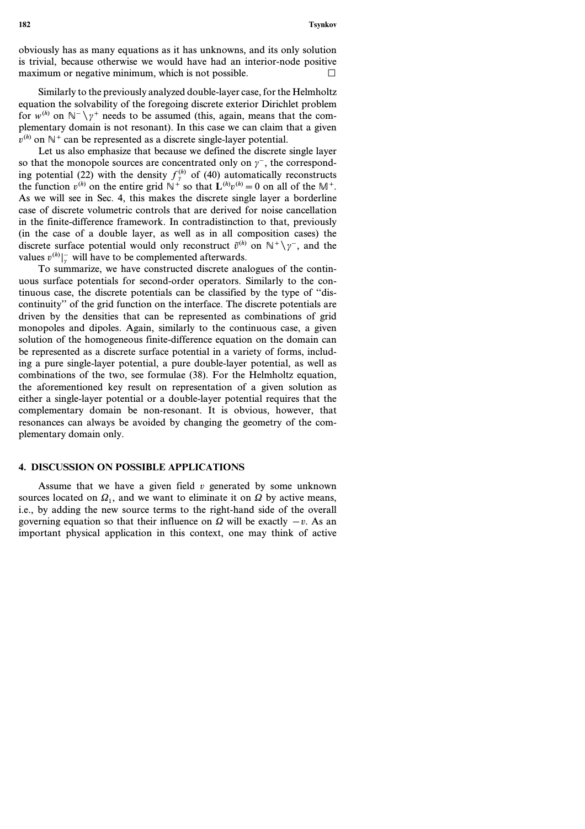obviously has as many equations as it has unknowns, and its only solution is trivial, because otherwise we would have had an interior-node positive maximum or negative minimum, which is not possible.  $\Box$ 

Similarly to the previously analyzed double-layer case, for the Helmholtz equation the solvability of the foregoing discrete exterior Dirichlet problem for  $w^{(h)}$  on  $\mathbb{N}^- \setminus \gamma^+$  needs to be assumed (this, again, means that the complementary domain is not resonant). In this case we can claim that a given  $v^{(h)}$  on  $\mathbb{N}^+$  can be represented as a discrete single-layer potential.

Let us also emphasize that because we defined the discrete single layer so that the monopole sources are concentrated only on  $\gamma$ <sup>−</sup>, the corresponding potential (22) with the density  $f_{\gamma}^{(h)}$  of (40) automatically reconstructs the function  $v^{(h)}$  on the entire grid  $N^+$  so that  $L^{(h)}v^{(h)} = 0$  on all of the M<sup>+</sup>. As we will see in Sec. 4, this makes the discrete single layer a borderline case of discrete volumetric controls that are derived for noise cancellation in the finite-difference framework. In contradistinction to that, previously (in the case of a double layer, as well as in all composition cases) the discrete surface potential would only reconstruct  $\tilde{v}^{(h)}$  on  $\mathbb{N}^+\backslash \gamma^-$ , and the values  $v^{(h)}|_{\gamma}$  will have to be complemented afterwards.

To summarize, we have constructed discrete analogues of the continuous surface potentials for second-order operators. Similarly to the continuous case, the discrete potentials can be classified by the type of ''discontinuity'' of the grid function on the interface. The discrete potentials are driven by the densities that can be represented as combinations of grid monopoles and dipoles. Again, similarly to the continuous case, a given solution of the homogeneous finite-difference equation on the domain can be represented as a discrete surface potential in a variety of forms, including a pure single-layer potential, a pure double-layer potential, as well as combinations of the two, see formulae (38). For the Helmholtz equation, the aforementioned key result on representation of a given solution as either a single-layer potential or a double-layer potential requires that the complementary domain be non-resonant. It is obvious, however, that resonances can always be avoided by changing the geometry of the complementary domain only.

# **4. DISCUSSION ON POSSIBLE APPLICATIONS**

Assume that we have a given field *v* generated by some unknown sources located on  $\Omega_1$ , and we want to eliminate it on  $\Omega$  by active means, i.e., by adding the new source terms to the right-hand side of the overall governing equation so that their influence on  $\Omega$  will be exactly  $-v$ . As an important physical application in this context, one may think of active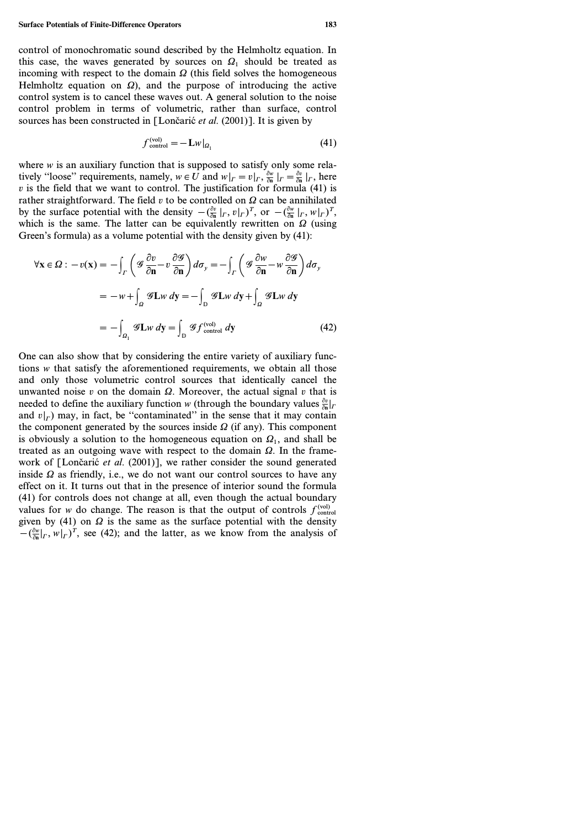control of monochromatic sound described by the Helmholtz equation. In this case, the waves generated by sources on  $\Omega_1$  should be treated as incoming with respect to the domain  $\Omega$  (this field solves the homogeneous Helmholtz equation on  $\Omega$ ), and the purpose of introducing the active control system is to cancel these waves out. A general solution to the noise control problem in terms of volumetric, rather than surface, control sources has been constructed in [Lončaric<sup>ci *et al.* (2001)]. It is given by</sup>

$$
f_{\text{control}}^{(\text{vol})} = -\,\text{L}w|_{\Omega_1} \tag{41}
$$

where *w* is an auxiliary function that is supposed to satisfy only some relatively "loose" requirements, namely,  $w \in U$  and  $w|_{\Gamma} = v|_{\Gamma}$ ,  $\frac{\partial w}{\partial n}|_{\Gamma} = \frac{\partial v}{\partial n}|_{\Gamma}$ , here *v* is the field that we want to control. The justification for formula (41) is rather straightforward. The field  $v$  to be controlled on  $\Omega$  can be annihilated by the surface potential with the density  $-(\frac{\partial v}{\partial n}|_F, v|_F)^T$ , or  $-(\frac{\partial w}{\partial n}|_F, w|_F)^T$ , which is the same. The latter can be equivalently rewritten on  $\Omega$  (using Green's formula) as a volume potential with the density given by (41):

$$
\forall \mathbf{x} \in \Omega : -v(\mathbf{x}) = -\int_{\Gamma} \left( \mathcal{G} \frac{\partial v}{\partial \mathbf{n}} - v \frac{\partial \mathcal{G}}{\partial \mathbf{n}} \right) d\sigma_{y} = -\int_{\Gamma} \left( \mathcal{G} \frac{\partial w}{\partial \mathbf{n}} - w \frac{\partial \mathcal{G}}{\partial \mathbf{n}} \right) d\sigma_{y}
$$

$$
= -w + \int_{\Omega} \mathcal{G} \mathbf{L}w \, dy = -\int_{\mathbb{D}} \mathcal{G} \mathbf{L}w \, dy + \int_{\Omega} \mathcal{G} \mathbf{L}w \, dy
$$

$$
= -\int_{\Omega_{1}} \mathcal{G} \mathbf{L}w \, dy = \int_{\mathbb{D}} \mathcal{G} f_{\text{control}}^{\text{(vol)}} \, dy \tag{42}
$$

One can also show that by considering the entire variety of auxiliary functions *w* that satisfy the aforementioned requirements, we obtain all those and only those volumetric control sources that identically cancel the unwanted noise  $v$  on the domain  $\Omega$ . Moreover, the actual signal  $v$  that is needed to define the auxiliary function *w* (through the boundary values  $\frac{\partial v}{\partial n}|_{\Gamma}$ and  $v|_{\Gamma}$ ) may, in fact, be "contaminated" in the sense that it may contain the component generated by the sources inside  $\Omega$  (if any). This component is obviously a solution to the homogeneous equation on  $\Omega_1$ , and shall be treated as an outgoing wave with respect to the domain  $\Omega$ . In the framework of [Lončarić et al. (2001)], we rather consider the sound generated inside  $\Omega$  as friendly, i.e., we do not want our control sources to have any effect on it. It turns out that in the presence of interior sound the formula (41) for controls does not change at all, even though the actual boundary values for *w* do change. The reason is that the output of controls  $f_{\text{control}}^{(\text{vol})}$ given by (41) on  $\Omega$  is the same as the surface potential with the density  $-(\frac{\partial w}{\partial n}|_F, w|_F)^T$ , see (42); and the latter, as we know from the analysis of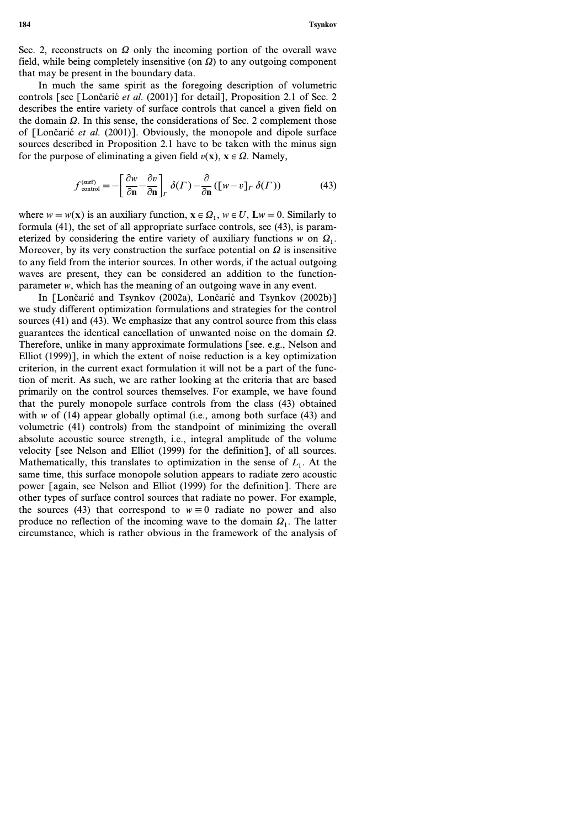Sec. 2, reconstructs on  $\Omega$  only the incoming portion of the overall wave field, while being completely insensitive (on  $\Omega$ ) to any outgoing component that may be present in the boundary data.

In much the same spirit as the foregoing description of volumetric controls [see [Lončaric´ *et al.* (2001)] for detail], Proposition 2.1 of Sec. 2 describes the entire variety of surface controls that cancel a given field on the domain  $\Omega$ . In this sense, the considerations of Sec. 2 complement those of [Lončaric<sup>ci *et al.* (2001)]. Obviously, the monopole and dipole surface</sup> sources described in Proposition 2.1 have to be taken with the minus sign for the purpose of eliminating a given field  $v(\mathbf{x})$ ,  $\mathbf{x} \in \Omega$ . Namely,

$$
f_{\text{control}}^{(\text{surf})} = -\left[\frac{\partial w}{\partial \mathbf{n}} - \frac{\partial v}{\partial \mathbf{n}}\right]_T \delta(\Gamma) - \frac{\partial}{\partial \mathbf{n}}\left([w - v]_T \delta(\Gamma)\right) \tag{43}
$$

where  $w = w(\mathbf{x})$  is an auxiliary function,  $\mathbf{x} \in \Omega_1$ ,  $w \in U$ ,  $Lw = 0$ . Similarly to formula (41), the set of all appropriate surface controls, see (43), is parameterized by considering the entire variety of auxiliary functions  $w$  on  $\Omega$ <sup>1</sup>. Moreover, by its very construction the surface potential on  $\Omega$  is insensitive to any field from the interior sources. In other words, if the actual outgoing waves are present, they can be considered an addition to the functionparameter *w*, which has the meaning of an outgoing wave in any event.

In [Lončarić and Tsynkov (2002a), Lončarić and Tsynkov (2002b)] we study different optimization formulations and strategies for the control sources (41) and (43). We emphasize that any control source from this class guarantees the identical cancellation of unwanted noise on the domain *W*. Therefore, unlike in many approximate formulations [see. e.g., Nelson and Elliot (1999)], in which the extent of noise reduction is a key optimization criterion, in the current exact formulation it will not be a part of the function of merit. As such, we are rather looking at the criteria that are based primarily on the control sources themselves. For example, we have found that the purely monopole surface controls from the class (43) obtained with *w* of (14) appear globally optimal (i.e., among both surface (43) and volumetric (41) controls) from the standpoint of minimizing the overall absolute acoustic source strength, i.e., integral amplitude of the volume velocity [see Nelson and Elliot (1999) for the definition], of all sources. Mathematically, this translates to optimization in the sense of  $L<sub>1</sub>$ . At the same time, this surface monopole solution appears to radiate zero acoustic power [again, see Nelson and Elliot (1999) for the definition]. There are other types of surface control sources that radiate no power. For example, the sources (43) that correspond to  $w \equiv 0$  radiate no power and also produce no reflection of the incoming wave to the domain  $\Omega_1$ . The latter circumstance, which is rather obvious in the framework of the analysis of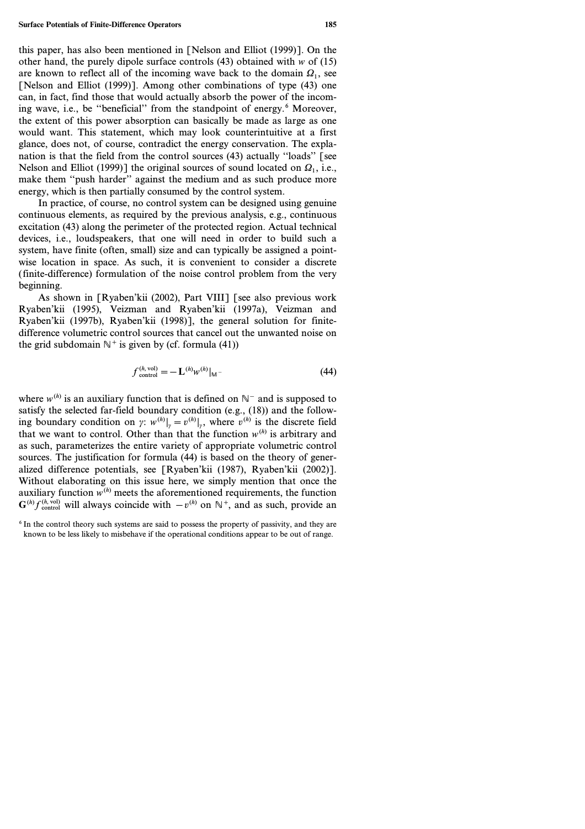this paper, has also been mentioned in [Nelson and Elliot (1999)]. On the other hand, the purely dipole surface controls (43) obtained with *w* of (15) are known to reflect all of the incoming wave back to the domain  $\Omega_1$ , see [Nelson and Elliot (1999)]. Among other combinations of type (43) one can, in fact, find those that would actually absorb the power of the incoming wave, i.e., be "beneficial" from the standpoint of energy.<sup>6</sup> Moreover, the extent of this power absorption can basically be made as large as one would want. This statement, which may look counterintuitive at a first glance, does not, of course, contradict the energy conservation. The explanation is that the field from the control sources (43) actually ''loads'' [see Nelson and Elliot (1999)] the original sources of sound located on  $\Omega_1$ , i.e., make them "push harder" against the medium and as such produce more energy, which is then partially consumed by the control system.

In practice, of course, no control system can be designed using genuine continuous elements, as required by the previous analysis, e.g., continuous excitation (43) along the perimeter of the protected region. Actual technical devices, i.e., loudspeakers, that one will need in order to build such a system, have finite (often, small) size and can typically be assigned a pointwise location in space. As such, it is convenient to consider a discrete ( finite-difference) formulation of the noise control problem from the very beginning.

As shown in [Ryaben'kii (2002), Part VIII] [see also previous work Ryaben'kii (1995), Veizman and Ryaben'kii (1997a), Veizman and Ryaben'kii (1997b), Ryaben'kii (1998)], the general solution for finitedifference volumetric control sources that cancel out the unwanted noise on the grid subdomain  $\mathbb{N}^+$  is given by (cf. formula (41))

$$
f_{\text{control}}^{(h,\text{vol})} = -\mathbf{L}^{(h)} w^{(h)}|_{\mathbb{M}^{-}} \tag{44}
$$

where  $w^{(h)}$  is an auxiliary function that is defined on  $\mathbb{N}^-$  and is supposed to satisfy the selected far-field boundary condition (e.g., (18)) and the following boundary condition on  $\gamma$ :  $w^{(h)}|_{\gamma} = v^{(h)}|_{\gamma}$ , where  $v^{(h)}$  is the discrete field that we want to control. Other than that the function  $w^{(h)}$  is arbitrary and as such, parameterizes the entire variety of appropriate volumetric control sources. The justification for formula (44) is based on the theory of generalized difference potentials, see [Ryaben'kii (1987), Ryaben'kii (2002)]. Without elaborating on this issue here, we simply mention that once the auxiliary function  $w^{(h)}$  meets the aforementioned requirements, the function  $\mathbf{G}^{(h)} f_{\text{control}}^{(h,\text{vol})}$  will always coincide with  $-v^{(h)}$  on  $\mathbb{N}^+$ , and as such, provide an

 $6$  In the control theory such systems are said to possess the property of passivity, and they are known to be less likely to misbehave if the operational conditions appear to be out of range.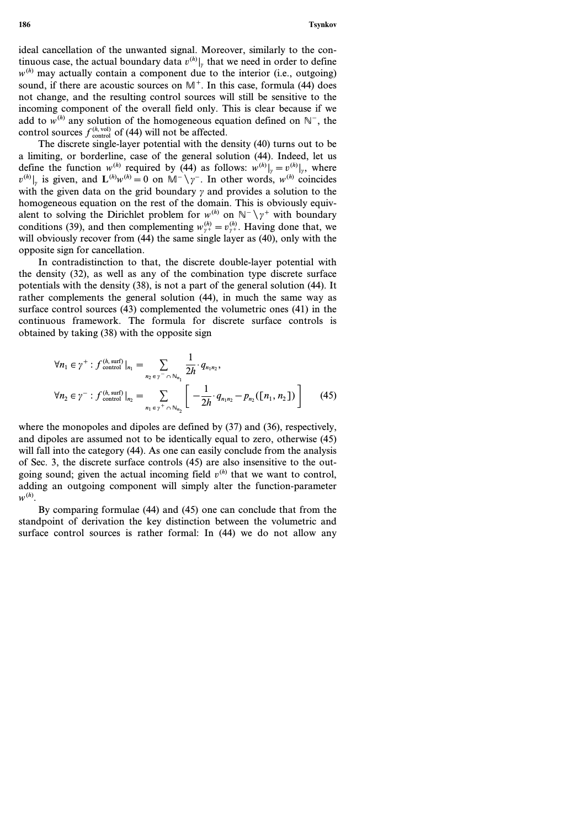ideal cancellation of the unwanted signal. Moreover, similarly to the continuous case, the actual boundary data  $v^{(h)}|$ , that we need in order to define  $w^{(h)}$  may actually contain a component due to the interior (i.e., outgoing) sound, if there are acoustic sources on M*<sup>+</sup>*. In this case, formula (44) does not change, and the resulting control sources will still be sensitive to the incoming component of the overall field only. This is clear because if we add to *w(h)* any solution of the homogeneous equation defined on N*<sup>−</sup>*, the control sources  $f_{\text{control}}^{(h,\text{vol})}$  of (44) will not be affected.

The discrete single-layer potential with the density (40) turns out to be a limiting, or borderline, case of the general solution (44). Indeed, let us define the function  $w^{(h)}$  required by (44) as follows:  $w^{(h)}|_{v} = v^{(h)}|_{v}$ , where  $v^{(h)}|$ , is given, and  $\mathbf{L}^{(h)}w^{(h)}=0$  on  $\mathbb{M}^{-}\backslash \gamma^{-}$ . In other words,  $w^{(h)}$  coincides with the given data on the grid boundary  $\gamma$  and provides a solution to the homogeneous equation on the rest of the domain. This is obviously equivalent to solving the Dirichlet problem for  $w^{(h)}$  on  $\mathbb{N}^{-}\setminus\gamma^{+}$  with boundary conditions (39), and then complementing  $w_{\gamma}^{(h)} = v_{\gamma}^{(h)}$ . Having done that, we will obviously recover from (44) the same single layer as (40), only with the opposite sign for cancellation.

In contradistinction to that, the discrete double-layer potential with the density (32), as well as any of the combination type discrete surface potentials with the density (38), is not a part of the general solution (44). It rather complements the general solution (44), in much the same way as surface control sources (43) complemented the volumetric ones (41) in the continuous framework. The formula for discrete surface controls is obtained by taking (38) with the opposite sign

$$
\forall n_1 \in \gamma^+ : f_{\text{control}}^{(h, \text{ surf})}|_{n_1} = \sum_{n_2 \in \gamma^- \cap N_{n_1}} \frac{1}{2h} \cdot q_{n_1 n_2},
$$
  

$$
\forall n_2 \in \gamma^- : f_{\text{control}}^{(h, \text{ surf})}|_{n_2} = \sum_{n_1 \in \gamma^+ \cap N_{n_2}} \left[ -\frac{1}{2h} \cdot q_{n_1 n_2} - p_{n_2}([n_1, n_2]) \right]
$$
(45)

where the monopoles and dipoles are defined by (37) and (36), respectively, and dipoles are assumed not to be identically equal to zero, otherwise (45) will fall into the category (44). As one can easily conclude from the analysis of Sec. 3, the discrete surface controls (45) are also insensitive to the outgoing sound; given the actual incoming field  $v^{(h)}$  that we want to control, adding an outgoing component will simply alter the function-parameter *w(h)*.

By comparing formulae (44) and (45) one can conclude that from the standpoint of derivation the key distinction between the volumetric and surface control sources is rather formal: In (44) we do not allow any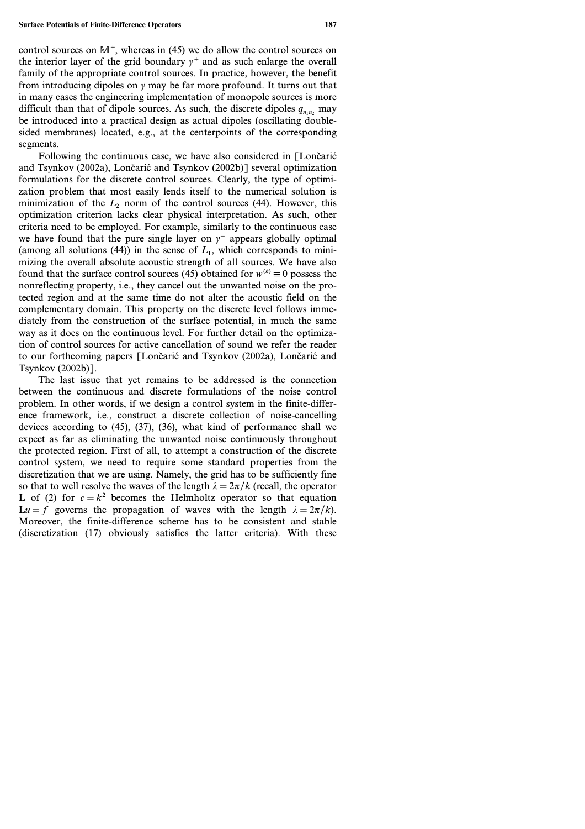control sources on M*<sup>+</sup>*, whereas in (45) we do allow the control sources on the interior layer of the grid boundary  $\gamma^+$  and as such enlarge the overall family of the appropriate control sources. In practice, however, the benefit from introducing dipoles on  $\gamma$  may be far more profound. It turns out that in many cases the engineering implementation of monopole sources is more difficult than that of dipole sources. As such, the discrete dipoles  $q_{n,n}$  may be introduced into a practical design as actual dipoles (oscillating doublesided membranes) located, e.g., at the centerpoints of the corresponding segments.

Following the continuous case, we have also considered in [Lončarić] and Tsynkov (2002a), Lončarić and Tsynkov (2002b)] several optimization formulations for the discrete control sources. Clearly, the type of optimization problem that most easily lends itself to the numerical solution is minimization of the  $L<sub>2</sub>$  norm of the control sources (44). However, this optimization criterion lacks clear physical interpretation. As such, other criteria need to be employed. For example, similarly to the continuous case we have found that the pure single layer on  $\gamma$ <sup>−</sup> appears globally optimal (among all solutions (44)) in the sense of  $L<sub>1</sub>$ , which corresponds to minimizing the overall absolute acoustic strength of all sources. We have also found that the surface control sources (45) obtained for  $w^{(h)} \equiv 0$  possess the nonreflecting property, i.e., they cancel out the unwanted noise on the protected region and at the same time do not alter the acoustic field on the complementary domain. This property on the discrete level follows immediately from the construction of the surface potential, in much the same way as it does on the continuous level. For further detail on the optimization of control sources for active cancellation of sound we refer the reader to our forthcoming papers [Lončarić and Tsynkov (2002a), Lončarić and Tsynkov (2002b)].

The last issue that yet remains to be addressed is the connection between the continuous and discrete formulations of the noise control problem. In other words, if we design a control system in the finite-difference framework, i.e., construct a discrete collection of noise-cancelling devices according to (45), (37), (36), what kind of performance shall we expect as far as eliminating the unwanted noise continuously throughout the protected region. First of all, to attempt a construction of the discrete control system, we need to require some standard properties from the discretization that we are using. Namely, the grid has to be sufficiently fine so that to well resolve the waves of the length  $\lambda = 2\pi/k$  (recall, the operator **L** of (2) for  $c = k^2$  becomes the Helmholtz operator so that equation L*u* = *f* governs the propagation of waves with the length  $\lambda = 2\pi/k$ . Moreover, the finite-difference scheme has to be consistent and stable (discretization (17) obviously satisfies the latter criteria). With these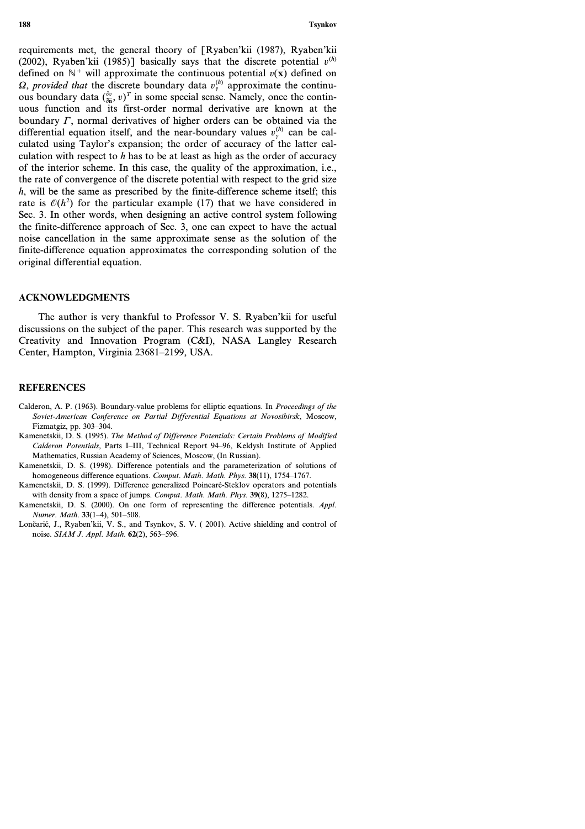requirements met, the general theory of [Ryaben'kii (1987), Ryaben'kii (2002), Ryaben'kii (1985)] basically says that the discrete potential *v(h)* defined on  $\mathbb{N}^+$  will approximate the continuous potential  $v(\mathbf{x})$  defined on  $\Omega$ , *provided that* the discrete boundary data  $v_{\gamma}^{(h)}$  approximate the continuous boundary data  $(\frac{\partial v}{\partial n}, v)^T$  in some special sense. Namely, once the continuous function and its first-order normal derivative are known at the boundary *C*, normal derivatives of higher orders can be obtained via the differential equation itself, and the near-boundary values  $v_{\gamma}^{(h)}$  can be calculated using Taylor's expansion; the order of accuracy of the latter calculation with respect to *h* has to be at least as high as the order of accuracy of the interior scheme. In this case, the quality of the approximation, i.e., the rate of convergence of the discrete potential with respect to the grid size *h*, will be the same as prescribed by the finite-difference scheme itself; this rate is  $O(h^2)$  for the particular example (17) that we have considered in Sec. 3. In other words, when designing an active control system following the finite-difference approach of Sec. 3, one can expect to have the actual noise cancellation in the same approximate sense as the solution of the finite-difference equation approximates the corresponding solution of the original differential equation.

# **ACKNOWLEDGMENTS**

The author is very thankful to Professor V. S. Ryaben'kii for useful discussions on the subject of the paper. This research was supported by the Creativity and Innovation Program (C&I), NASA Langley Research Center, Hampton, Virginia 23681–2199, USA.

# **REFERENCES**

- Calderon, A. P. (1963). Boundary-value problems for elliptic equations. In *Proceedings of the Soviet-American Conference on Partial Differential Equations at Novosibirsk*, Moscow, Fizmatgiz, pp. 303–304.
- Kamenetskii, D. S. (1995). *The Method of Difference Potentials: Certain Problems of Modified Calderon Potentials*, Parts I–III, Technical Report 94–96, Keldysh Institute of Applied Mathematics, Russian Academy of Sciences, Moscow, (In Russian).
- Kamenetskii, D. S. (1998). Difference potentials and the parameterization of solutions of homogeneous difference equations. *Comput. Math. Math. Phys.* **38**(11), 1754–1767.
- Kamenetskii, D. S. (1999). Difference generalized Poincaré-Steklov operators and potentials with density from a space of jumps. *Comput. Math. Math. Phys.* **39**(8), 1275–1282.
- Kamenetskii, D. S. (2000). On one form of representing the difference potentials. *Appl. Numer. Math.* **33**(1–4), 501–508.
- Lončarić, J., Ryaben'kii, V. S., and Tsynkov, S. V. ( 2001). Active shielding and control of noise. *SIAM J. Appl. Math.* **62**(2), 563–596.